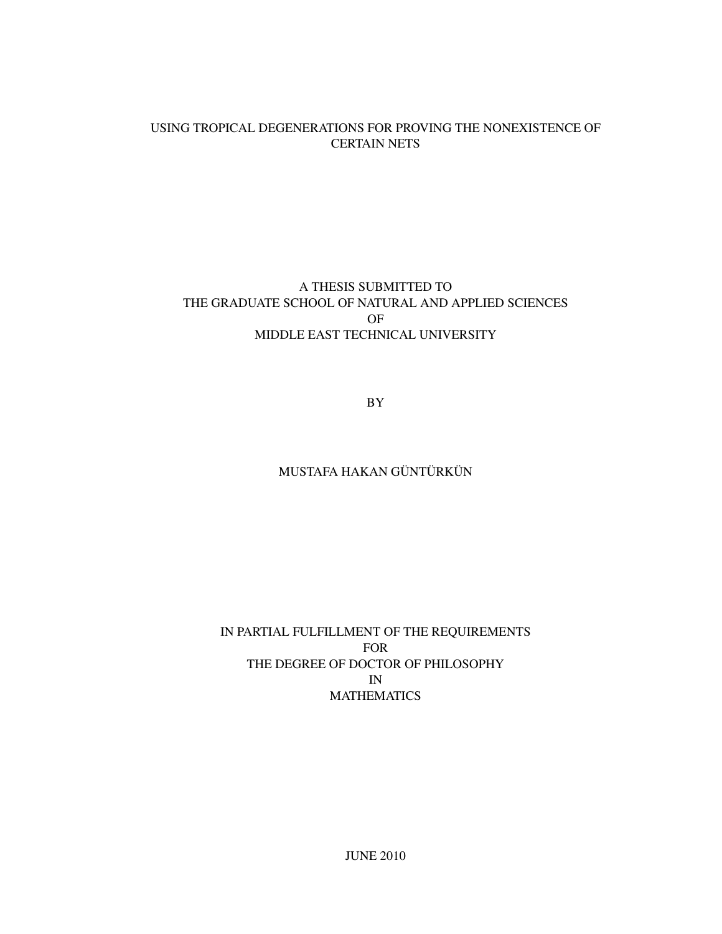### USING TROPICAL DEGENERATIONS FOR PROVING THE NONEXISTENCE OF CERTAIN NETS

## A THESIS SUBMITTED TO THE GRADUATE SCHOOL OF NATURAL AND APPLIED SCIENCES OF MIDDLE EAST TECHNICAL UNIVERSITY

BY

## MUSTAFA HAKAN GÜNTÜRKÜN

## IN PARTIAL FULFILLMENT OF THE REQUIREMENTS FOR THE DEGREE OF DOCTOR OF PHILOSOPHY IN MATHEMATICS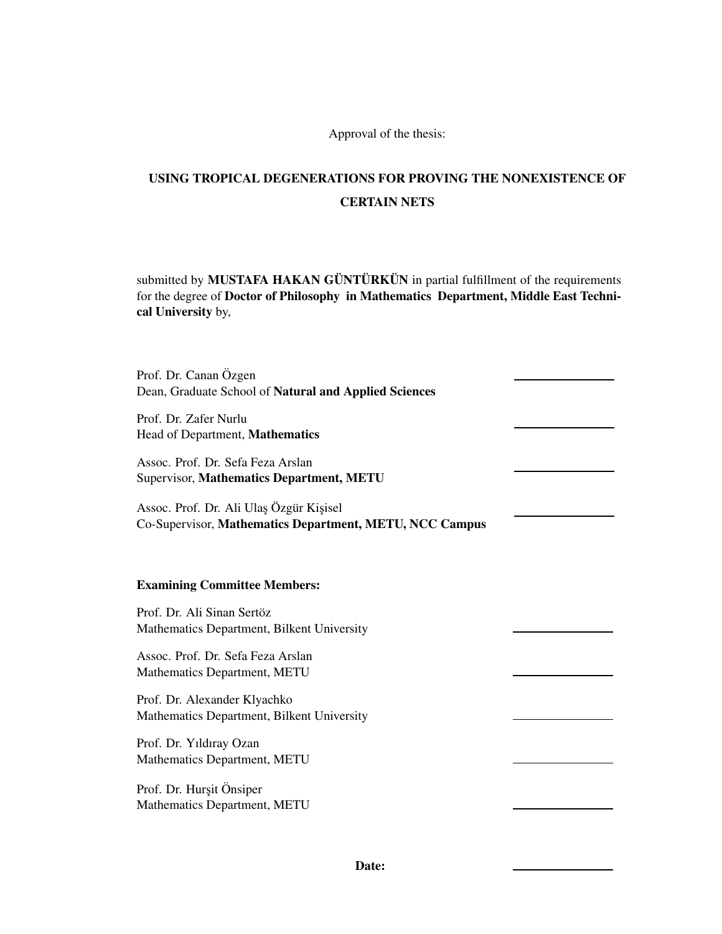Approval of the thesis:

# USING TROPICAL DEGENERATIONS FOR PROVING THE NONEXISTENCE OF CERTAIN NETS

submitted by MUSTAFA HAKAN GÜNTÜRKÜN in partial fulfillment of the requirements for the degree of Doctor of Philosophy in Mathematics Department, Middle East Technical University by,

| Prof. Dr. Canan Özgen<br>Dean, Graduate School of Natural and Applied Sciences                     |  |
|----------------------------------------------------------------------------------------------------|--|
| Prof. Dr. Zafer Nurlu<br>Head of Department, Mathematics                                           |  |
| Assoc. Prof. Dr. Sefa Feza Arslan<br>Supervisor, Mathematics Department, METU                      |  |
| Assoc. Prof. Dr. Ali Ulaş Özgür Kişisel<br>Co-Supervisor, Mathematics Department, METU, NCC Campus |  |
| <b>Examining Committee Members:</b>                                                                |  |
| Prof. Dr. Ali Sinan Sertöz<br>Mathematics Department, Bilkent University                           |  |
| Assoc. Prof. Dr. Sefa Feza Arslan<br>Mathematics Department, METU                                  |  |
| Prof. Dr. Alexander Klyachko<br>Mathematics Department, Bilkent University                         |  |
| Prof. Dr. Yıldıray Ozan<br>Mathematics Department, METU                                            |  |
| Prof. Dr. Hurşit Önsiper<br>Mathematics Department, METU                                           |  |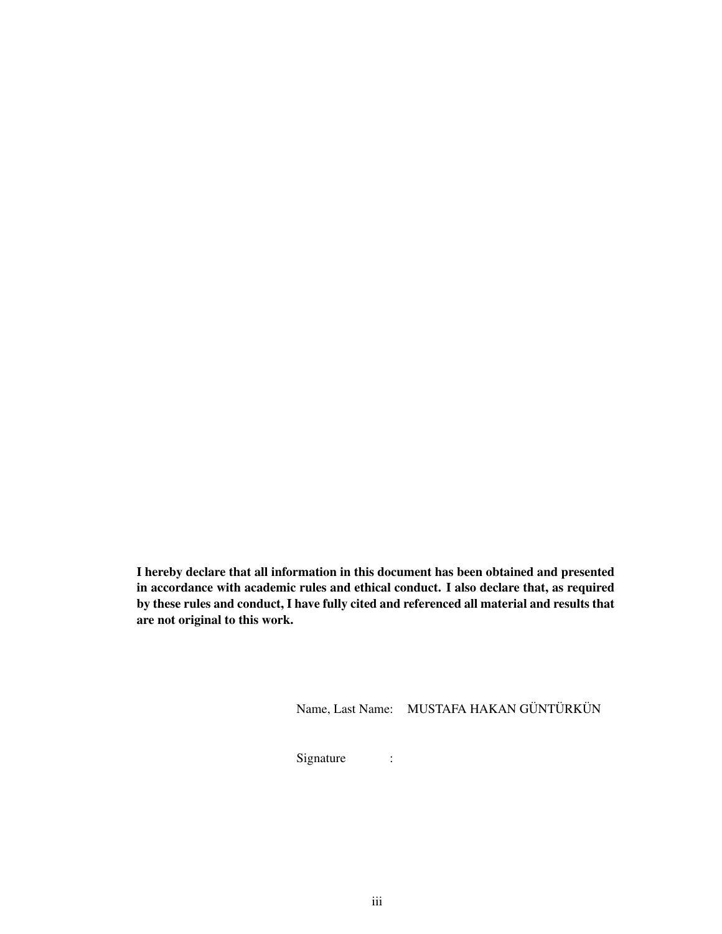I hereby declare that all information in this document has been obtained and presented in accordance with academic rules and ethical conduct. I also declare that, as required by these rules and conduct, I have fully cited and referenced all material and results that are not original to this work.

Name, Last Name: MUSTAFA HAKAN GÜNTÜRKÜN

Signature :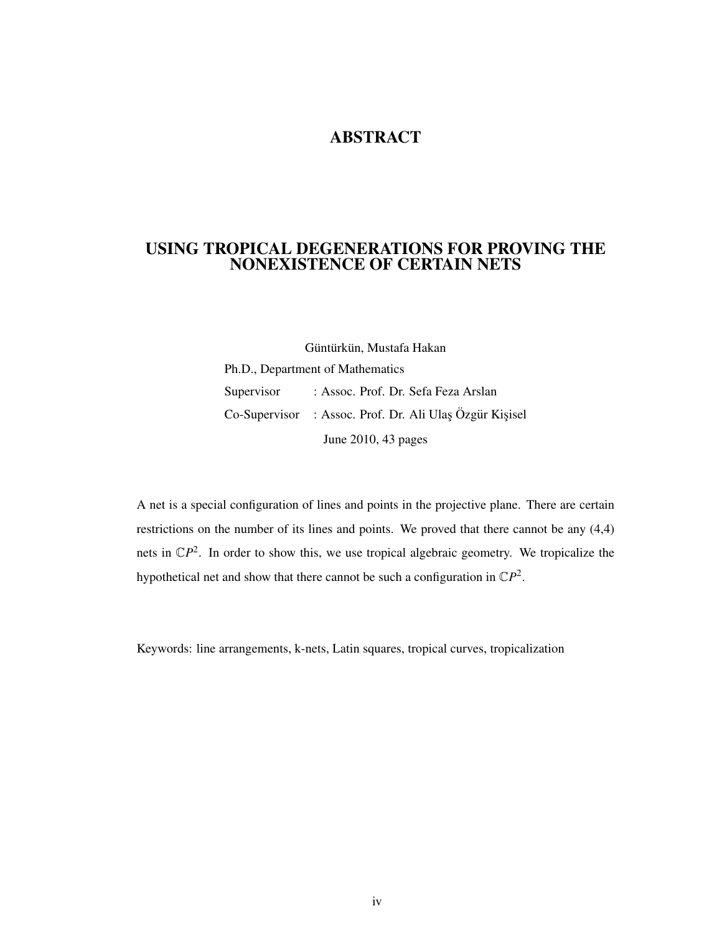# ABSTRACT

## USING TROPICAL DEGENERATIONS FOR PROVING THE NONEXISTENCE OF CERTAIN NETS

Güntürkün, Mustafa Hakan Ph.D., Department of Mathematics Supervisor : Assoc. Prof. Dr. Sefa Feza Arslan Co-Supervisor : Assoc. Prof. Dr. Ali Ulaş Özgür Kişisel June 2010, 43 pages

A net is a special configuration of lines and points in the projective plane. There are certain restrictions on the number of its lines and points. We proved that there cannot be any (4,4) nets in  $\mathbb{C}P^2$ . In order to show this, we use tropical algebraic geometry. We tropicalize the hypothetical net and show that there cannot be such a configuration in  $\mathbb{C}P^2$ .

Keywords: line arrangements, k-nets, Latin squares, tropical curves, tropicalization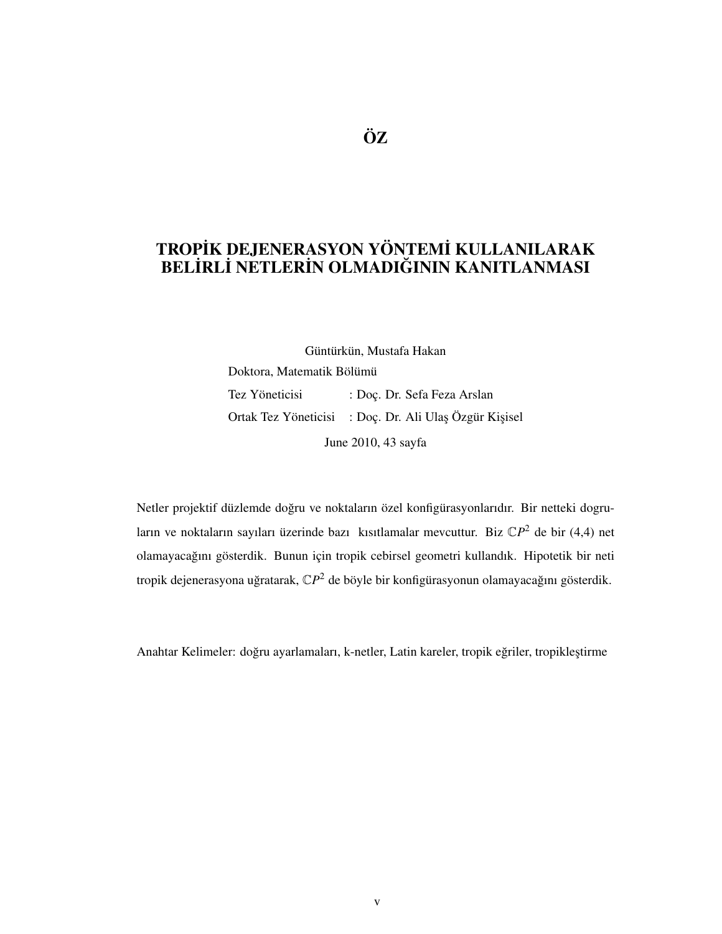# TROPİK DEJENERASYON YÖNTEMİ KULLANILARAK BEL˙IRL˙I NETLER˙IN OLMADIGININ KANITLANMASI ˘

Güntürkün, Mustafa Hakan Doktora, Matematik Bölümü Tez Yöneticisi : Doç. Dr. Sefa Feza Arslan Ortak Tez Yöneticisi : Doç. Dr. Ali Ulaş Özgür Kişisel June 2010, 43 sayfa

Netler projektif düzlemde doğru ve noktaların özel konfigürasyonlarıdır. Bir netteki dogruların ve noktaların sayıları üzerinde bazı kısıtlamalar mevcuttur. Biz  $\mathbb{C}P^2$  de bir (4,4) net olamayacağını gösterdik. Bunun için tropik cebirsel geometri kullandık. Hipotetik bir neti tropik dejenerasyona uğratarak, C $\mathcal{P}^2$  de böyle bir konfigürasyonun olamayacağını gösterdik.

Anahtar Kelimeler: doğru ayarlamaları, k-netler, Latin kareler, tropik eğriler, tropikleştirme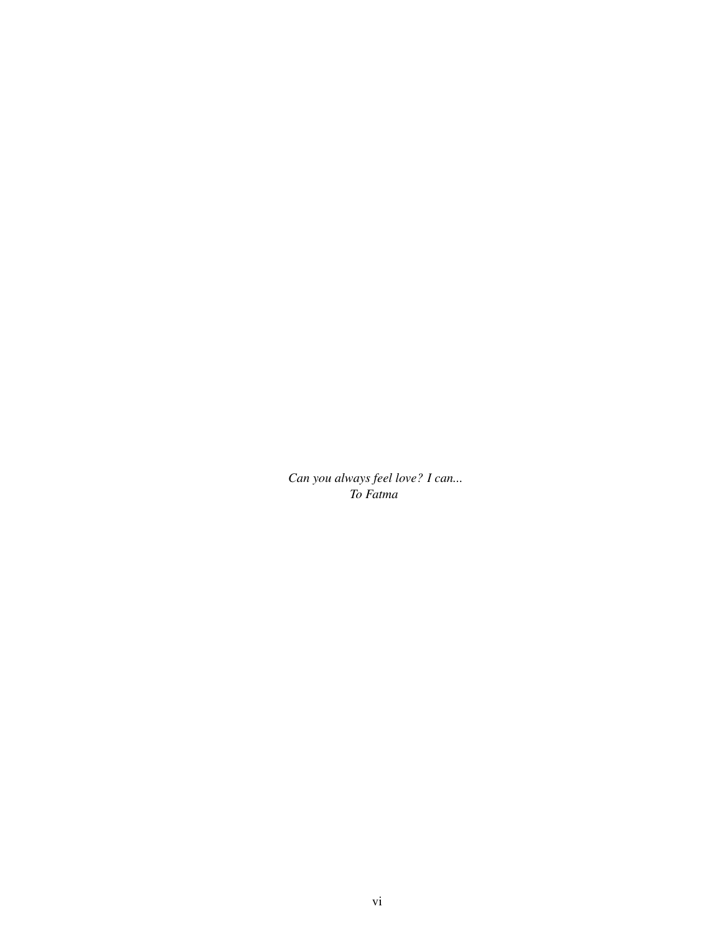*Can you always feel love? I can... To Fatma*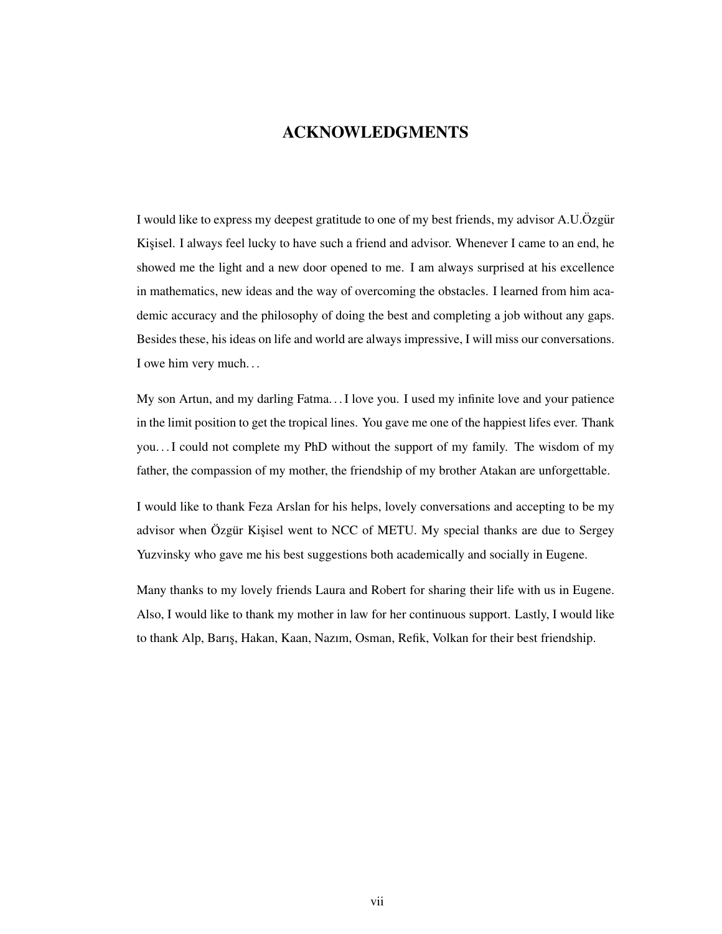## ACKNOWLEDGMENTS

I would like to express my deepest gratitude to one of my best friends, my advisor A.U.Özgür Kisisel. I always feel lucky to have such a friend and advisor. Whenever I came to an end, he showed me the light and a new door opened to me. I am always surprised at his excellence in mathematics, new ideas and the way of overcoming the obstacles. I learned from him academic accuracy and the philosophy of doing the best and completing a job without any gaps. Besides these, his ideas on life and world are always impressive, I will miss our conversations. I owe him very much. . .

My son Artun, and my darling Fatma. . . I love you. I used my infinite love and your patience in the limit position to get the tropical lines. You gave me one of the happiest lifes ever. Thank you. . . I could not complete my PhD without the support of my family. The wisdom of my father, the compassion of my mother, the friendship of my brother Atakan are unforgettable.

I would like to thank Feza Arslan for his helps, lovely conversations and accepting to be my advisor when Özgür Kissiel went to NCC of METU. My special thanks are due to Sergey Yuzvinsky who gave me his best suggestions both academically and socially in Eugene.

Many thanks to my lovely friends Laura and Robert for sharing their life with us in Eugene. Also, I would like to thank my mother in law for her continuous support. Lastly, I would like to thank Alp, Barıs¸, Hakan, Kaan, Nazım, Osman, Refik, Volkan for their best friendship.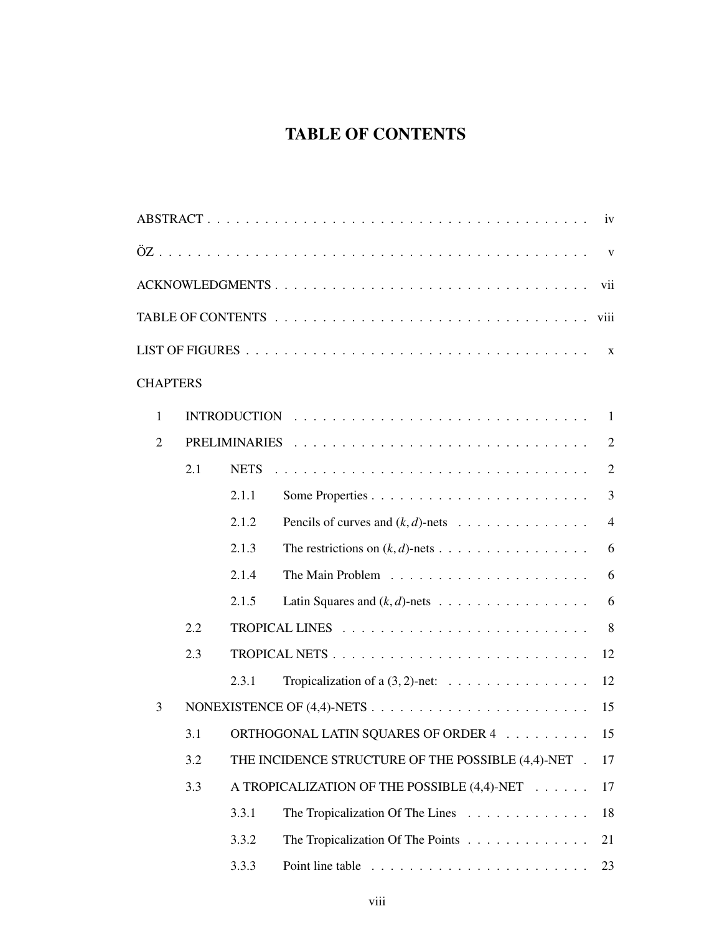# TABLE OF CONTENTS

|                 |     |             |                                                                            | iv             |
|-----------------|-----|-------------|----------------------------------------------------------------------------|----------------|
|                 |     |             |                                                                            | $\mathbf{V}$   |
|                 |     |             | ACKNOWLEDGMENTS                                                            | vii            |
|                 |     |             |                                                                            |                |
|                 |     |             |                                                                            | $\mathbf{X}$   |
| <b>CHAPTERS</b> |     |             |                                                                            |                |
| $\mathbf{1}$    |     |             |                                                                            | $\overline{1}$ |
| $\overline{2}$  |     |             |                                                                            | $\overline{2}$ |
|                 | 2.1 | <b>NETS</b> |                                                                            | $\overline{2}$ |
|                 |     | 2.1.1       |                                                                            | $\overline{3}$ |
|                 |     | 2.1.2       | Pencils of curves and $(k, d)$ -nets                                       | $\overline{4}$ |
|                 |     | 2.1.3       | The restrictions on $(k, d)$ -nets                                         | 6              |
|                 |     | 2.1.4       |                                                                            | 6              |
|                 |     | 2.1.5       | Latin Squares and $(k, d)$ -nets                                           | 6              |
|                 | 2.2 |             |                                                                            | 8              |
|                 | 2.3 |             |                                                                            | 12             |
|                 |     | 2.3.1       | Tropicalization of a $(3, 2)$ -net:                                        | 12             |
| 3               |     |             |                                                                            | 15             |
|                 | 3.1 |             | ORTHOGONAL LATIN SQUARES OF ORDER 4 15                                     |                |
|                 | 3.2 |             | THE INCIDENCE STRUCTURE OF THE POSSIBLE (4,4)-NET .                        | 17             |
|                 | 3.3 |             | A TROPICALIZATION OF THE POSSIBLE (4,4)-NET                                | 17             |
|                 |     | 3.3.1       | The Tropicalization Of The Lines                                           | 18             |
|                 |     | 3.3.2       | The Tropicalization Of The Points                                          | 21             |
|                 |     | 3.3.3       | Point line table $\ldots \ldots \ldots \ldots \ldots \ldots \ldots \ldots$ | 23             |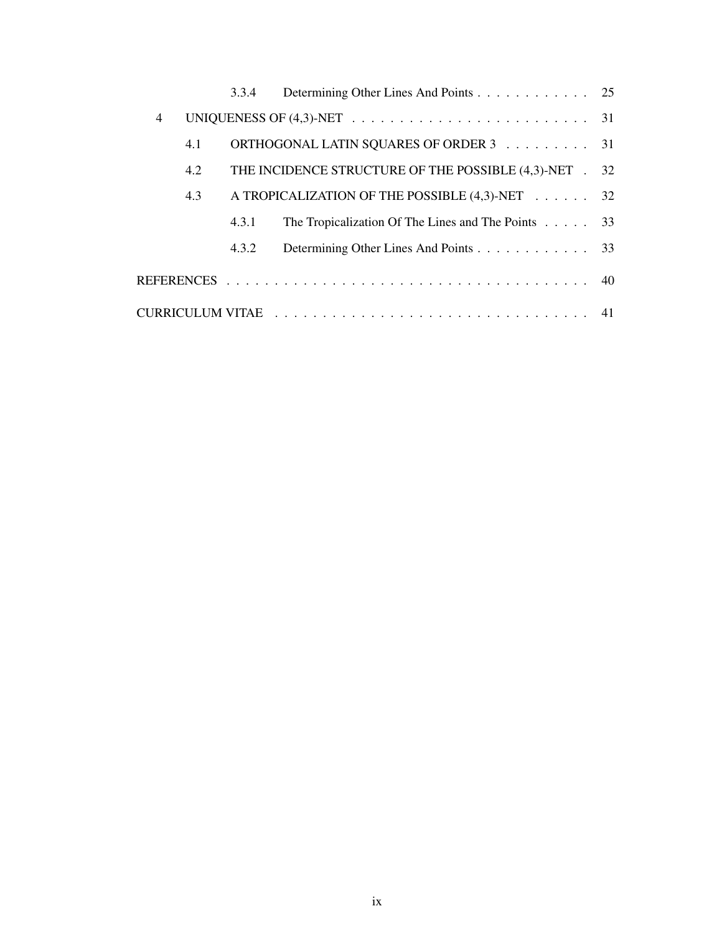|   |     | 3.3.4 | Determining Other Lines And Points 25                       |  |
|---|-----|-------|-------------------------------------------------------------|--|
| 4 |     |       |                                                             |  |
|   | 4.1 |       | ORTHOGONAL LATIN SQUARES OF ORDER 3 31                      |  |
|   | 4.2 |       | THE INCIDENCE STRUCTURE OF THE POSSIBLE (4,3)-NET . 32      |  |
|   | 4.3 |       | A TROPICALIZATION OF THE POSSIBLE (4,3)-NET 32              |  |
|   |     | 4.3.1 | The Tropicalization Of The Lines and The Points $\ldots$ 33 |  |
|   |     | 4.3.2 | Determining Other Lines And Points 33                       |  |
|   |     |       |                                                             |  |
|   |     |       |                                                             |  |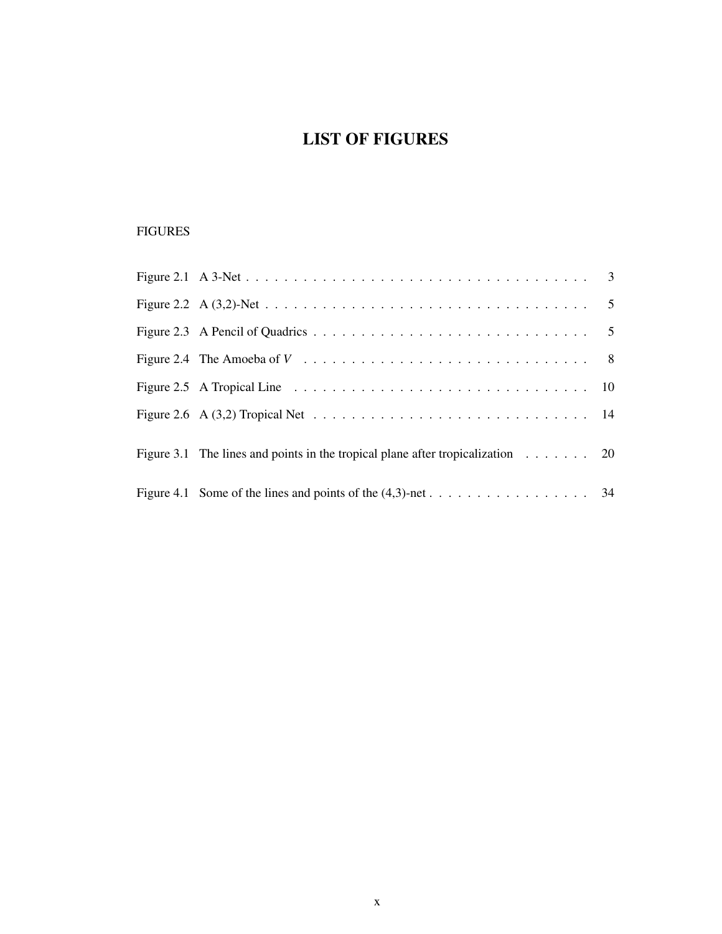# LIST OF FIGURES

## FIGURES

| Figure 3.1 The lines and points in the tropical plane after tropicalization $\ldots \ldots$ 20 |  |
|------------------------------------------------------------------------------------------------|--|
|                                                                                                |  |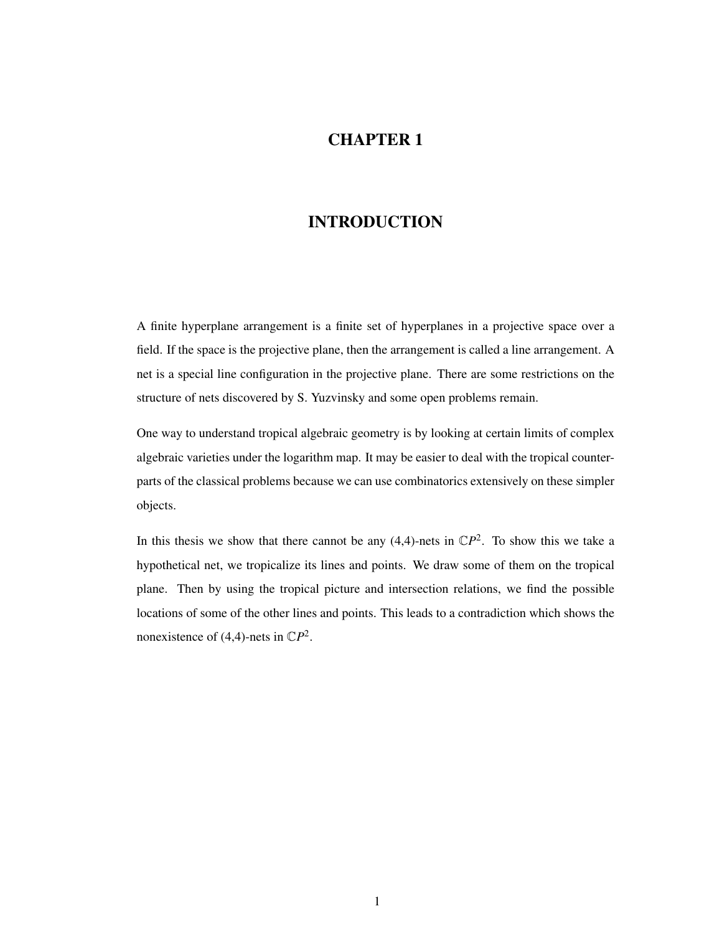## CHAPTER 1

## INTRODUCTION

A finite hyperplane arrangement is a finite set of hyperplanes in a projective space over a field. If the space is the projective plane, then the arrangement is called a line arrangement. A net is a special line configuration in the projective plane. There are some restrictions on the structure of nets discovered by S. Yuzvinsky and some open problems remain.

One way to understand tropical algebraic geometry is by looking at certain limits of complex algebraic varieties under the logarithm map. It may be easier to deal with the tropical counterparts of the classical problems because we can use combinatorics extensively on these simpler objects.

In this thesis we show that there cannot be any  $(4,4)$ -nets in  $\mathbb{C}P^2$ . To show this we take a hypothetical net, we tropicalize its lines and points. We draw some of them on the tropical plane. Then by using the tropical picture and intersection relations, we find the possible locations of some of the other lines and points. This leads to a contradiction which shows the nonexistence of  $(4,4)$ -nets in  $\mathbb{C}P^2$ .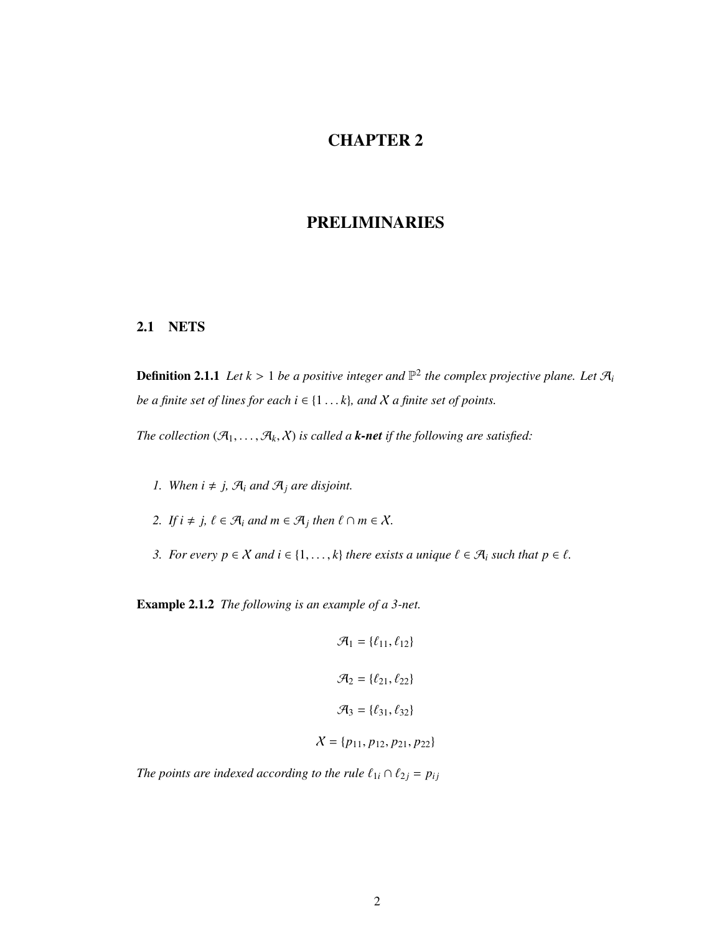# CHAPTER 2

## PRELIMINARIES

### 2.1 NETS

**Definition 2.1.1** Let  $k > 1$  be a positive integer and  $\mathbb{P}^2$  the complex projective plane. Let  $\mathcal{A}_i$ *be a finite set of lines for each i*  $\in$  {1... $k$ }*, and*  $X$  *a finite set of points.* 

*The collection*  $(\mathcal{A}_1, \ldots, \mathcal{A}_k, X)$  *is called a k-net if the following are satisfied:* 

- *1. When*  $i \neq j$ ,  $\mathcal{A}_i$  *and*  $\mathcal{A}_j$  *are disjoint.*
- 2. If  $i \neq j$ ,  $\ell \in \mathcal{A}_i$  and  $m \in \mathcal{A}_j$  then  $\ell \cap m \in \mathcal{X}$ .
- *3. For every*  $p \in \mathcal{X}$  *and*  $i \in \{1, ..., k\}$  *there exists a unique*  $\ell \in \mathcal{A}_i$  *such that*  $p \in \ell$ *.*

Example 2.1.2 *The following is an example of a 3-net.*

$$
\mathcal{A}_1 = \{\ell_{11}, \ell_{12}\}
$$

$$
\mathcal{A}_2 = \{\ell_{21}, \ell_{22}\}
$$

$$
\mathcal{A}_3 = \{\ell_{31}, \ell_{32}\}
$$

$$
\mathcal{X} = \{p_{11}, p_{12}, p_{21}, p_{22}\}
$$

*The points are indexed according to the rule*  $\ell_{1i} \cap \ell_{2j} = p_{ij}$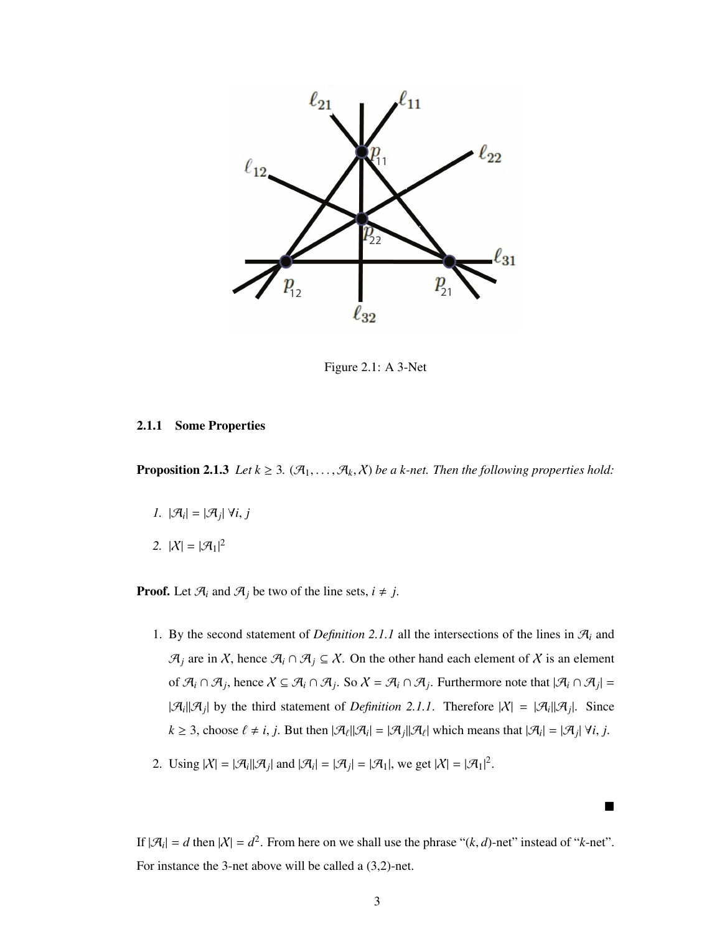

Figure 2.1: A 3-Net

#### 2.1.1 Some Properties

**Proposition 2.1.3** *Let*  $k \geq 3$ *.*  $(\mathcal{A}_1, \ldots, \mathcal{A}_k, \chi)$  *be a k-net. Then the following properties hold:* 

- *1.*  $|\mathcal{A}_i| = |\mathcal{A}_j| \forall i, j$
- 2.  $|X| = |\mathcal{A}_1|^2$

**Proof.** Let  $\mathcal{A}_i$  and  $\mathcal{A}_j$  be two of the line sets,  $i \neq j$ .

- 1. By the second statement of *Definition 2.1.1* all the intersections of the lines in  $\mathcal{A}_i$  and  $\mathcal{A}_j$  are in X, hence  $\mathcal{A}_i \cap \mathcal{A}_j \subseteq X$ . On the other hand each element of X is an element of  $\mathcal{A}_i \cap \mathcal{A}_j$ , hence  $X \subseteq \mathcal{A}_i \cap \mathcal{A}_j$ . So  $X = \mathcal{A}_i \cap \mathcal{A}_j$ . Furthermore note that  $|\mathcal{A}_i \cap \mathcal{A}_j|$  $|\mathcal{A}_i||\mathcal{A}_j|$  by the third statement of *Definition 2.1.1*. Therefore  $|X| = |\mathcal{A}_i||\mathcal{A}_j|$ . Since  $k \ge 3$ , choose  $\ell \neq i, j$ . But then  $|\mathcal{A}_{\ell}||\mathcal{A}_{i}| = |\mathcal{A}_{j}||\mathcal{A}_{\ell}|$  which means that  $|\mathcal{A}_{i}| = |\mathcal{A}_{j}| \forall i, j$ .
- 2. Using  $|X| = |\mathcal{A}_i||\mathcal{A}_j|$  and  $|\mathcal{A}_i| = |\mathcal{A}_j| = |\mathcal{A}_1|$ , we get  $|X| = |\mathcal{A}_1|^2$ .

If  $|\mathcal{A}_i| = d$  then  $|\mathcal{X}| = d^2$ . From here on we shall use the phrase " $(k, d)$ -net" instead of "*k*-net". For instance the 3-net above will be called a (3,2)-net.

 $\blacksquare$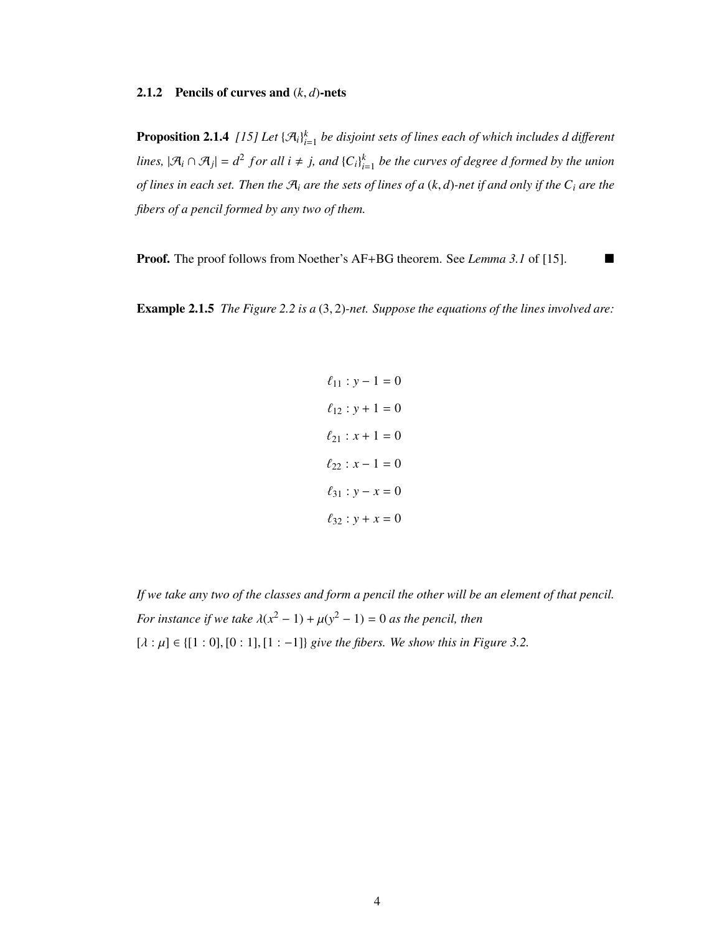#### 2.1.2 Pencils of curves and (*k*, *<sup>d</sup>*)-nets

**Proposition 2.1.4** [15] Let  $\{\mathcal{A}_i\}_{i=1}^k$  be disjoint sets of lines each of which includes d different *lines,*  $|\mathcal{A}_i \cap \mathcal{A}_j| = d^2$  for all  $i \neq j$ , and  $\{C_i\}_{i=1}^k$  be the curves of degree d formed by the union *of lines in each set. Then the* <sup>A</sup>*<sup>i</sup> are the sets of lines of a* (*k*, *<sup>d</sup>*)*-net if and only if the C<sup>i</sup> are the fibers of a pencil formed by any two of them.*

**Proof.** The proof follows from Noether's AF+BG theorem. See *Lemma 3.1* of [15]. ■

Example 2.1.5 *The Figure 2.2 is a* (3, 2)*-net. Suppose the equations of the lines involved are:*

$$
\ell_{11} : y - 1 = 0
$$
  
\n
$$
\ell_{12} : y + 1 = 0
$$
  
\n
$$
\ell_{21} : x + 1 = 0
$$
  
\n
$$
\ell_{22} : x - 1 = 0
$$
  
\n
$$
\ell_{31} : y - x = 0
$$
  
\n
$$
\ell_{32} : y + x = 0
$$

*If we take any two of the classes and form a pencil the other will be an element of that pencil. For instance if we take*  $\lambda(x^2 - 1) + \mu(y^2 - 1) = 0$  *as the pencil, then*  $[\lambda : \mu] \in \{ [1 : 0], [0 : 1], [1 : -1] \}$  *give the fibers. We show this in Figure 3.2.*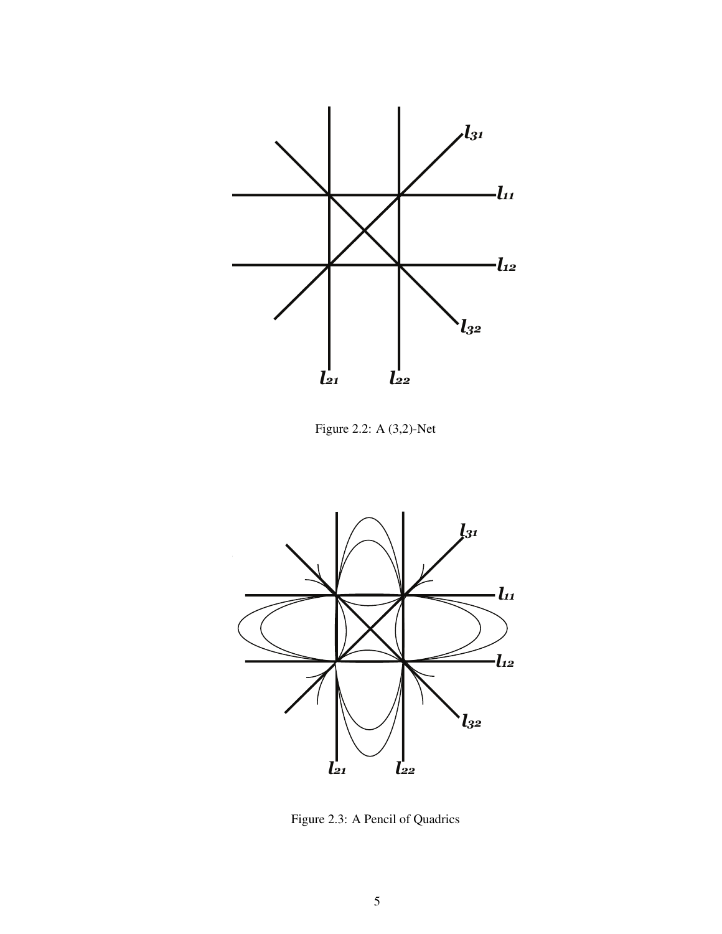

Figure 2.2: A (3,2)-Net



Figure 2.3: A Pencil of Quadrics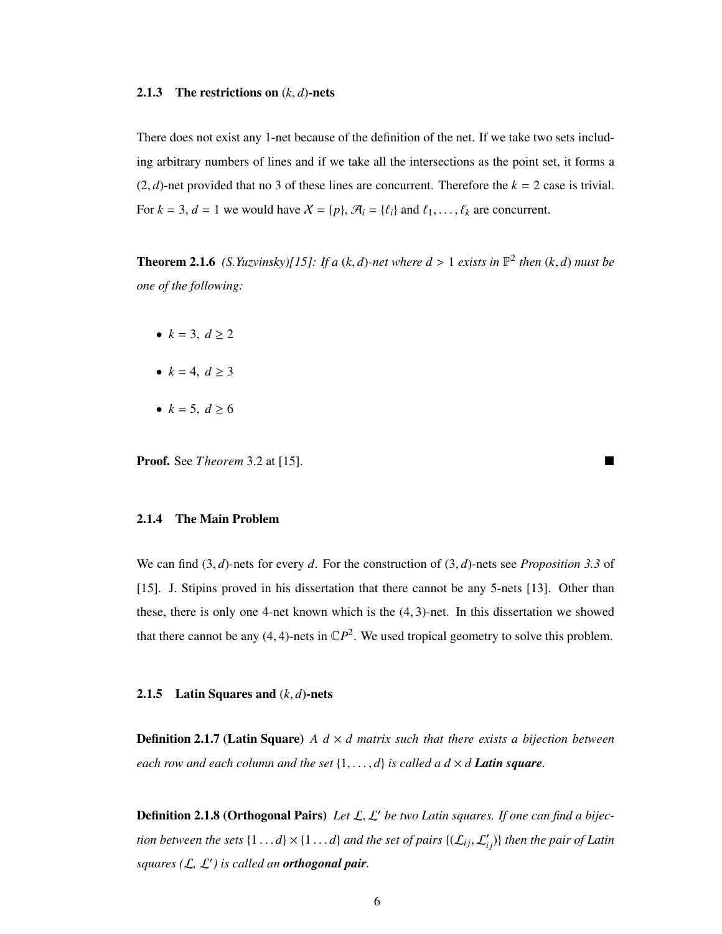#### **2.1.3** The restrictions on  $(k, d)$ -nets

There does not exist any 1-net because of the definition of the net. If we take two sets including arbitrary numbers of lines and if we take all the intersections as the point set, it forms a  $(2, d)$ -net provided that no 3 of these lines are concurrent. Therefore the  $k = 2$  case is trivial. For  $k = 3$ ,  $d = 1$  we would have  $X = \{p\}$ ,  $\mathcal{A}_i = \{\ell_i\}$  and  $\ell_1, \ldots, \ell_k$  are concurrent.

**Theorem 2.1.6** *(S.Yuzvinsky)[15]: If a (k, d)-net where*  $d > 1$  *exists in*  $\mathbb{P}^2$  *then (k, d) must be one of the following:*

- $k = 3, d \ge 2$
- $k = 4, d > 3$
- $k = 5, d \ge 6$

**Proof.** See *Theorem* 3.2 at [15].

#### 2.1.4 The Main Problem

We can find (3, *<sup>d</sup>*)-nets for every *<sup>d</sup>*. For the construction of (3, *<sup>d</sup>*)-nets see *Proposition 3.3* of [15]. J. Stipins proved in his dissertation that there cannot be any 5-nets [13]. Other than these, there is only one 4-net known which is the (4, 3)-net. In this dissertation we showed that there cannot be any  $(4, 4)$ -nets in  $\mathbb{C}P^2$ . We used tropical geometry to solve this problem.

#### 2.1.5 Latin Squares and (*k*, *<sup>d</sup>*)-nets

**Definition 2.1.7 (Latin Square)** *A d*  $\times$  *d matrix such that there exists a bijection between each row and each column and the set*  $\{1, \ldots, d\}$  *is called a*  $d \times d$  *Latin square.* 

**Definition 2.1.8 (Orthogonal Pairs)** Let L, L' be two Latin squares. If one can find a bijec*tion between the sets*  $\{1...d\} \times \{1...d\}$  *and the set of pairs*  $\{(\mathcal{L}_{ij}, \mathcal{L}'_{ij})\}$  *then the pair of Latin squares (*L*,* L<sup>0</sup> *) is called an orthogonal pair.*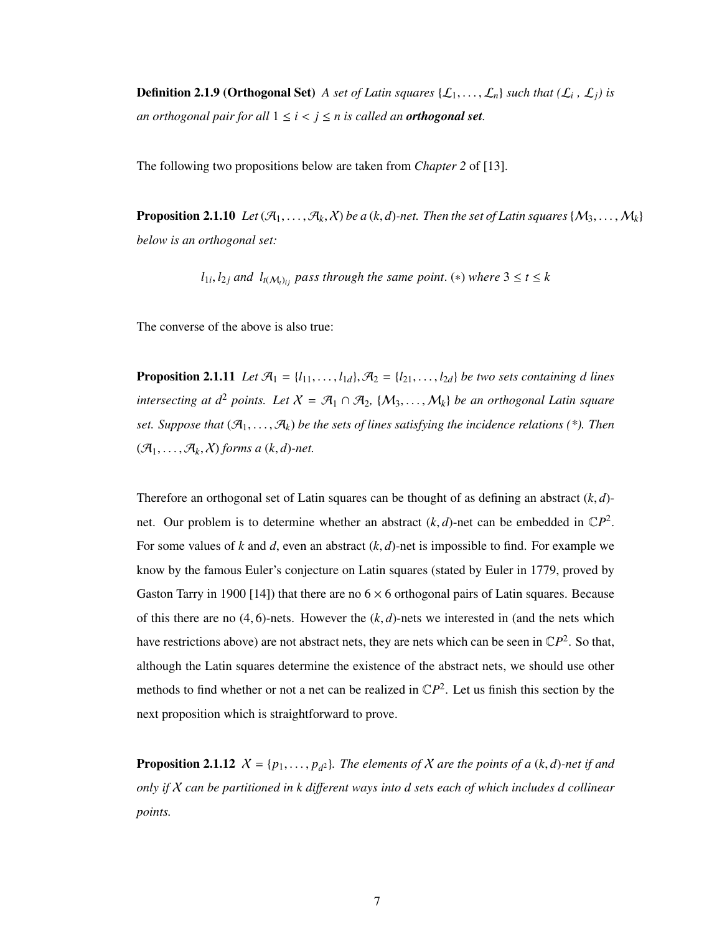**Definition 2.1.9 (Orthogonal Set)** *A set of Latin squares*  $\{\mathcal{L}_1, \ldots, \mathcal{L}_n\}$  *such that*  $(\mathcal{L}_i, \mathcal{L}_j)$  *is an orthogonal pair for all*  $1 \le i < j \le n$  *is called an orthogonal set.* 

The following two propositions below are taken from *Chapter 2* of [13].

**Proposition 2.1.10** Let  $(\mathcal{A}_1, \ldots, \mathcal{A}_k, \chi)$  be a  $(k, d)$ -net. Then the set of Latin squares  $\{M_3, \ldots, M_k\}$ *below is an orthogonal set:*

*l*<sub>1*i*</sub>, *l*<sub>2*j*</sub> and *l*<sub>*I*</sub>( $M$ <sub>*i*)*i*</sub> *pass through the same point.* (\*) *where*  $3 \le t \le k$ 

The converse of the above is also true:

**Proposition 2.1.11** Let  $\mathcal{A}_1 = \{l_{11}, \ldots, l_{1d}\}, \mathcal{A}_2 = \{l_{21}, \ldots, l_{2d}\}$  be two sets containing d lines *intersecting at*  $d^2$  *points. Let*  $X = \mathcal{A}_1 \cap \mathcal{A}_2$ ,  $\{M_3, \ldots, M_k\}$  *be an orthogonal Latin square set. Suppose that*  $(\mathcal{A}_1, \ldots, \mathcal{A}_k)$  *be the sets of lines satisfying the incidence relations* (\*). Then  $(\mathcal{A}_1, \ldots, \mathcal{A}_k, \chi)$  forms a  $(k, d)$ -net.

Therefore an orthogonal set of Latin squares can be thought of as defining an abstract (*k*, *<sup>d</sup>*) net. Our problem is to determine whether an abstract  $(k, d)$ -net can be embedded in  $\mathbb{C}P^2$ . For some values of *<sup>k</sup>* and *<sup>d</sup>*, even an abstract (*k*, *<sup>d</sup>*)-net is impossible to find. For example we know by the famous Euler's conjecture on Latin squares (stated by Euler in 1779, proved by Gaston Tarry in 1900 [14]) that there are no  $6 \times 6$  orthogonal pairs of Latin squares. Because of this there are no  $(4, 6)$ -nets. However the  $(k, d)$ -nets we interested in (and the nets which have restrictions above) are not abstract nets, they are nets which can be seen in  $\mathbb{C}P^2$ . So that, although the Latin squares determine the existence of the abstract nets, we should use other methods to find whether or not a net can be realized in  $\mathbb{C}P^2$ . Let us finish this section by the next proposition which is straightforward to prove.

**Proposition 2.1.12**  $X = \{p_1, \ldots, p_{d^2}\}$ . The elements of X are the points of a  $(k, d)$ -net if and *only if* X *can be partitioned in k di*ff*erent ways into d sets each of which includes d collinear points.*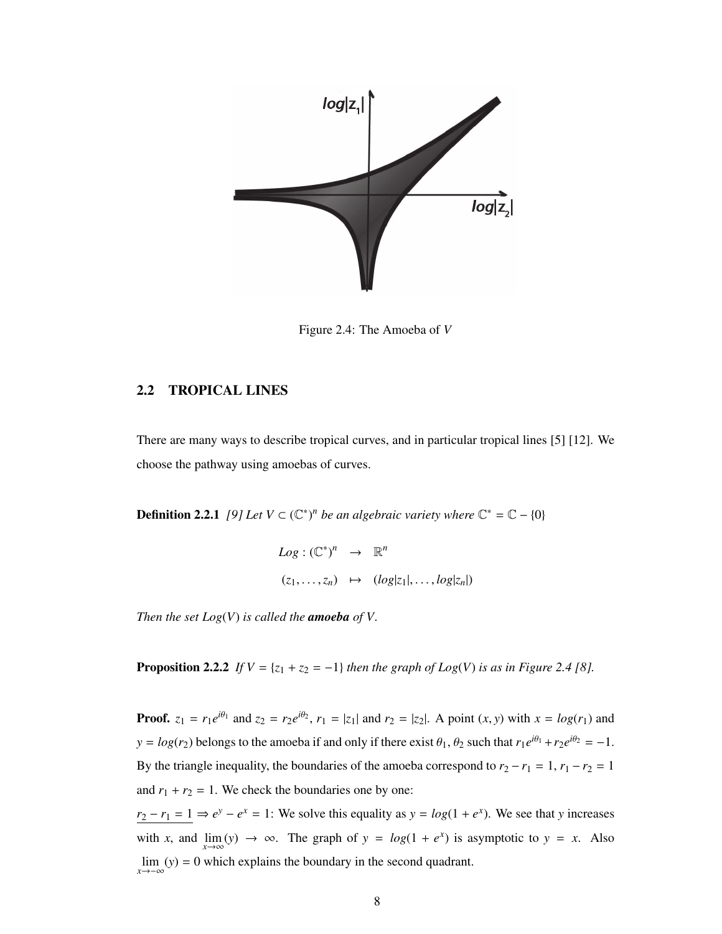

Figure 2.4: The Amoeba of *V*

### 2.2 TROPICAL LINES

There are many ways to describe tropical curves, and in particular tropical lines [5] [12]. We choose the pathway using amoebas of curves.

**Definition 2.2.1** *[9]* Let  $V \subset (\mathbb{C}^*)^n$  be an algebraic variety where  $\mathbb{C}^* = \mathbb{C} - \{0\}$ 

$$
Log: (\mathbb{C}^*)^n \rightarrow \mathbb{R}^n
$$
  

$$
(z_1, \ldots, z_n) \mapsto (log|z_1|, \ldots, log|z_n|)
$$

*Then the set Log*(*V*) *is called the amoeba of V.*

**Proposition 2.2.2** *If*  $V = \{z_1 + z_2 = -1\}$  *then the graph of Log(V) is as in Figure 2.4 [8].* 

**Proof.**  $z_1 = r_1 e^{i\theta_1}$  and  $z_2 = r_2 e^{i\theta_2}$ ,  $r_1 = |z_1|$  and  $r_2 = |z_2|$ . A point  $(x, y)$  with  $x = log(r_1)$  and  $y = log(r_2)$  belongs to the amoeba if and only if there exist  $\theta_1$ ,  $\theta_2$  such that  $r_1 e^{i\theta_1} + r_2 e^{i\theta_2} = -1$ . By the triangle inequality, the boundaries of the amoeba correspond to  $r_2 - r_1 = 1$ ,  $r_1 - r_2 = 1$ and  $r_1 + r_2 = 1$ . We check the boundaries one by one:

 $r_2 - r_1 = 1 \Rightarrow e^y - e^x = 1$ : We solve this equality as  $y = log(1 + e^x)$ . We see that *y* increases with *x*, and  $\lim_{x \to \infty} (y) \to \infty$ . The graph of  $y = log(1 + e^x)$  is asymptotic to  $y = x$ . Also lim *x*→−∞ (*y*) = 0 which explains the boundary in the second quadrant.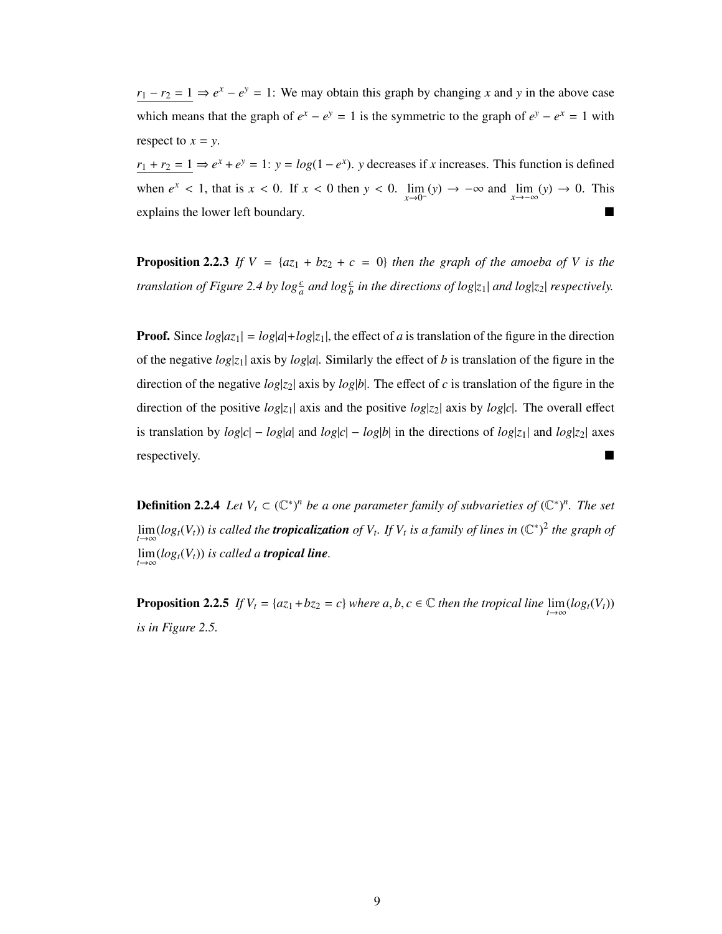$r_1 - r_2 = 1 \Rightarrow e^x - e^y = 1$ : We may obtain this graph by changing *x* and *y* in the above case which means that the graph of  $e^x - e^y = 1$  is the symmetric to the graph of  $e^y - e^x = 1$  with respect to  $x = y$ .

 $r_1 + r_2 = 1 \Rightarrow e^x + e^y = 1$ :  $y = log(1 - e^x)$ . *y* decreases if *x* increases. This function is defined when  $e^x < 1$ , that is  $x < 0$ . If  $x < 0$  then  $y < 0$ .  $\lim_{x \to 0^-}(y) \to -\infty$  and  $\lim_{x \to -\infty}(y) \to 0$ . This explains the lower left boundary.

**Proposition 2.2.3** *If*  $V = {az_1 + bz_2 + c = 0}$  *then the graph of the amoeba of V is the translation of Figure 2.4 by*  $\log{\frac{c}{a}}$  *and*  $\log{\frac{c}{b}}$  *in the directions of*  $\log|z_1|$  *and*  $\log|z_2|$  *respectively.* 

**Proof.** Since  $log|az_1| = log|a| + log|z_1|$ , the effect of *a* is translation of the figure in the direction of the negative  $log|z_1|$  axis by  $log|a|$ . Similarly the effect of *b* is translation of the figure in the direction of the negative  $log|z_2|$  axis by  $log|b|$ . The effect of *c* is translation of the figure in the direction of the positive  $log|z_1|$  axis and the positive  $log|z_2|$  axis by  $log|c|$ . The overall effect is translation by  $log|c| - log|a|$  and  $log|c| - log|b|$  in the directions of  $log|z_1|$  and  $log|z_2|$  axes respectively.

**Definition 2.2.4** Let  $V_t \subset (\mathbb{C}^*)^n$  be a one parameter family of subvarieties of  $(\mathbb{C}^*)^n$ . The set  $\lim_{t\to\infty}$  ( $log_t(V_t)$ ) is called the **tropicalization** of  $V_t$ . If  $V_t$  is a family of lines in  $(\mathbb{C}^*)^2$  the graph of  $\lim_{t\to\infty}$  (log<sub>t</sub>( $V_t$ )) is called a *tropical line*.

**Proposition 2.2.5** *If*  $V_t = \{az_1 + bz_2 = c\}$  *where a, b, c*  $\in \mathbb{C}$  *then the tropical line*  $\lim_{t \to \infty} (\log_t(V_t))$ *is in Figure 2.5.*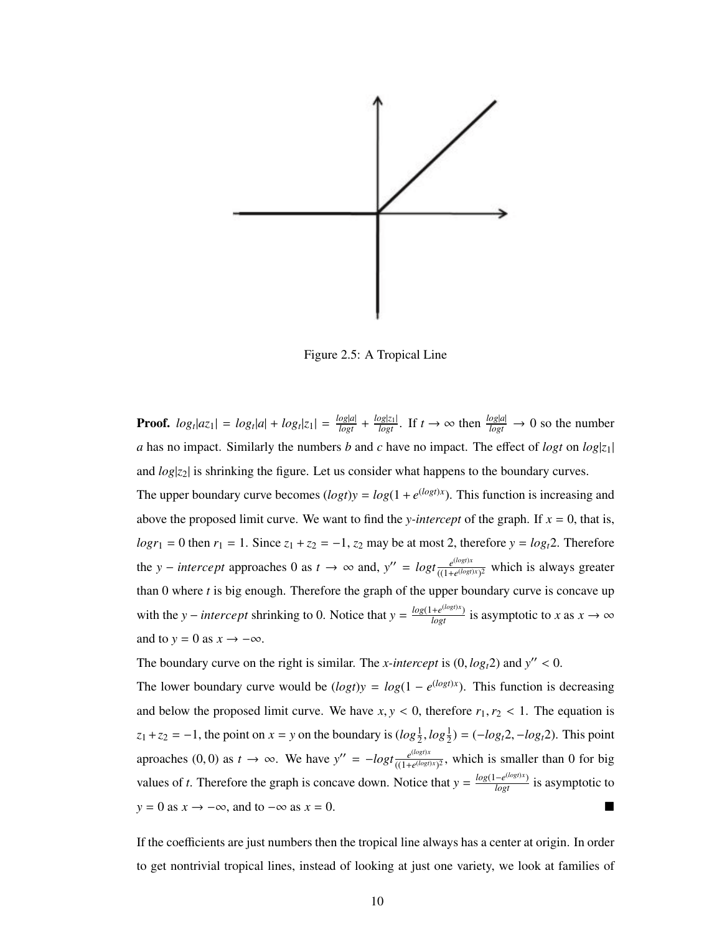

Figure 2.5: A Tropical Line

**Proof.**  $log_t|az_1| = log_t|a| + log_t|z_1| = \frac{log|a|}{logt} + \frac{log|z_1|}{logt}$ . If  $t \to \infty$  then  $\frac{log|a|}{logt} \to 0$  so the number *a* has no impact. Similarly the numbers *b* and *c* have no impact. The effect of *logt* on  $log|z_1|$ and *log*|*z*2| is shrinking the figure. Let us consider what happens to the boundary curves. The upper boundary curve becomes  $(log t)y = log(1 + e^{(log t)x})$ . This function is increasing and above the proposed limit curve. We want to find the *y-intercept* of the graph. If  $x = 0$ , that is,  $log r_1 = 0$  then  $r_1 = 1$ . Since  $z_1 + z_2 = -1$ ,  $z_2$  may be at most 2, therefore  $y = log<sub>t</sub>2$ . Therefore the *y* − *intercept* approaches 0 as  $t \rightarrow \infty$  and,  $y'' = log t \frac{e^{(log t)x}}{(1 + e^{(log t)x})}$  $\frac{e^{i\omega_s/\lambda}}{((1+e^{(\log t)x})^2}$  which is always greater than 0 where *t* is big enough. Therefore the graph of the upper boundary curve is concave up with the *y* − *intercept* shrinking to 0. Notice that  $y = \frac{\log(1 + e^{(\log t)x})}{\log t}$  is asymptotic to *x* as  $x \to \infty$ and to  $y = 0$  as  $x \rightarrow -\infty$ .

The boundary curve on the right is similar. The *x*-intercept is  $(0, log<sub>t</sub>2)$  and  $y'' < 0$ .

The lower boundary curve would be  $(log t)y = log(1 - e^{(log t)x})$ . This function is decreasing and below the proposed limit curve. We have  $x, y < 0$ , therefore  $r_1, r_2 < 1$ . The equation is  $z_1 + z_2 = -1$ , the point on  $x = y$  on the boundary is  $(log \frac{1}{2}, log \frac{1}{2}) = (-log_t 2, -log_t 2)$ . This point aproaches (0, 0) as  $t \to \infty$ . We have  $y'' = -logt \frac{e^{(logt)x}}{((1+e^{(logt)x})^2 + 1)}$  $\frac{e^{i\omega_{\mathcal{S}}/A}}{((1+e^{(\log t)x})^2)}$ , which is smaller than 0 for big values of *t*. Therefore the graph is concave down. Notice that  $y = \frac{\log(1 - e^{(\log t)x})}{\log t}$  is asymptotic to  $y = 0$  as  $x \to -\infty$ , and to  $-\infty$  as  $x = 0$ .

If the coefficients are just numbers then the tropical line always has a center at origin. In order to get nontrivial tropical lines, instead of looking at just one variety, we look at families of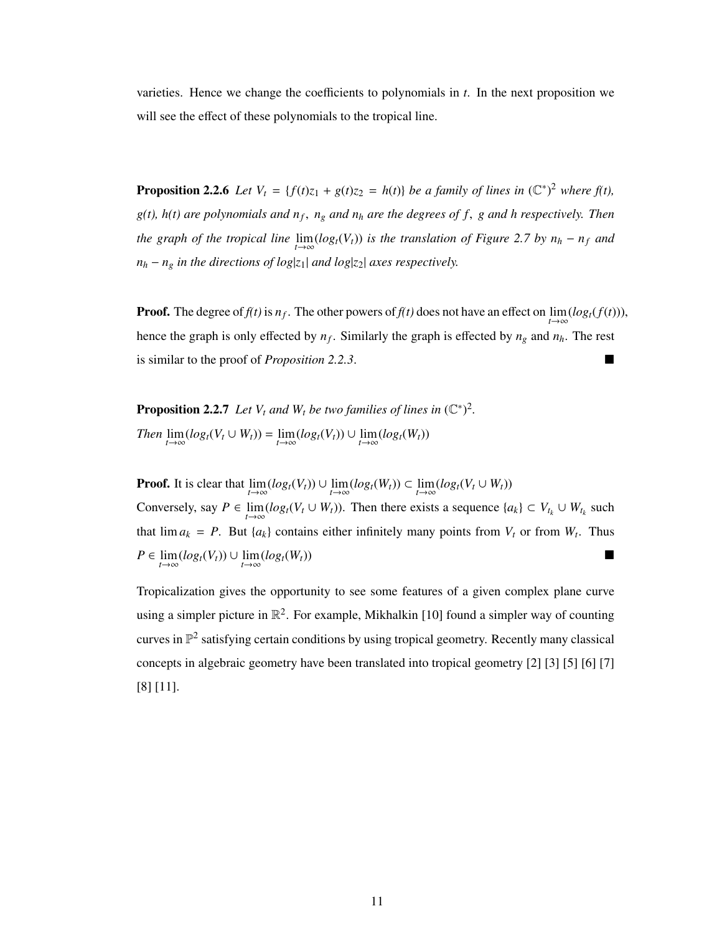varieties. Hence we change the coefficients to polynomials in *t*. In the next proposition we will see the effect of these polynomials to the tropical line.

**Proposition 2.2.6** *Let*  $V_t = \{f(t)z_1 + g(t)z_2 = h(t)\}$  *be a family of lines in*  $(\mathbb{C}^*)^2$  *where*  $f(t)$ *, g(t), h(t) are polynomials and n<sup>f</sup>* , *<sup>n</sup><sup>g</sup> and n<sup>h</sup> are the degrees of f*, *g and h respectively. Then the graph of the tropical line*  $\lim_{t\to\infty} (log_t(V_t))$  *is the translation of Figure 2.7 by n<sub>h</sub> − n<sub>f</sub> and*  $n_h - n_g$  *in the directions of log*| $z_1$ | *and log*| $z_2$ | *axes respectively.* 

**Proof.** The degree of  $f(t)$  is  $n_f$ . The other powers of  $f(t)$  does not have an effect on  $\lim_{t\to\infty} (log_t(f(t)))$ , hence the graph is only effected by *n<sup>f</sup>* . Similarly the graph is effected by *n<sup>g</sup>* and *nh*. The rest is similar to the proof of *Proposition 2.2.3*.

**Proposition 2.2.7** Let  $V_t$  and  $W_t$  be two families of lines in  $(\mathbb{C}^*)^2$ . *Then*  $\lim_{t \to \infty} (log_t(V_t \cup W_t)) = \lim_{t \to \infty} (log_t(V_t)) \cup \lim_{t \to \infty} (log_t(W_t))$ 

**Proof.** It is clear that  $\lim_{t \to \infty} (log_t(V_t)) \cup \lim_{t \to \infty} (log_t(W_t)) \subset \lim_{t \to \infty} (log_t(V_t \cup W_t))$ Conversely, say  $P \in \lim_{t \to \infty} (log_t(V_t \cup W_t))$ . Then there exists a sequence  $\{a_k\} \subset V_{t_k} \cup W_{t_k}$  such that  $\lim a_k = P$ . But  $\{a_k\}$  contains either infinitely many points from  $V_t$  or from  $W_t$ . Thus  $P \in \lim_{t \to \infty} (log_t(V_t)) \cup \lim_{t \to \infty} (log_t(W_t))$ 

Tropicalization gives the opportunity to see some features of a given complex plane curve using a simpler picture in  $\mathbb{R}^2$ . For example, Mikhalkin [10] found a simpler way of counting curves in  $\mathbb{P}^2$  satisfying certain conditions by using tropical geometry. Recently many classical concepts in algebraic geometry have been translated into tropical geometry [2] [3] [5] [6] [7] [8] [11].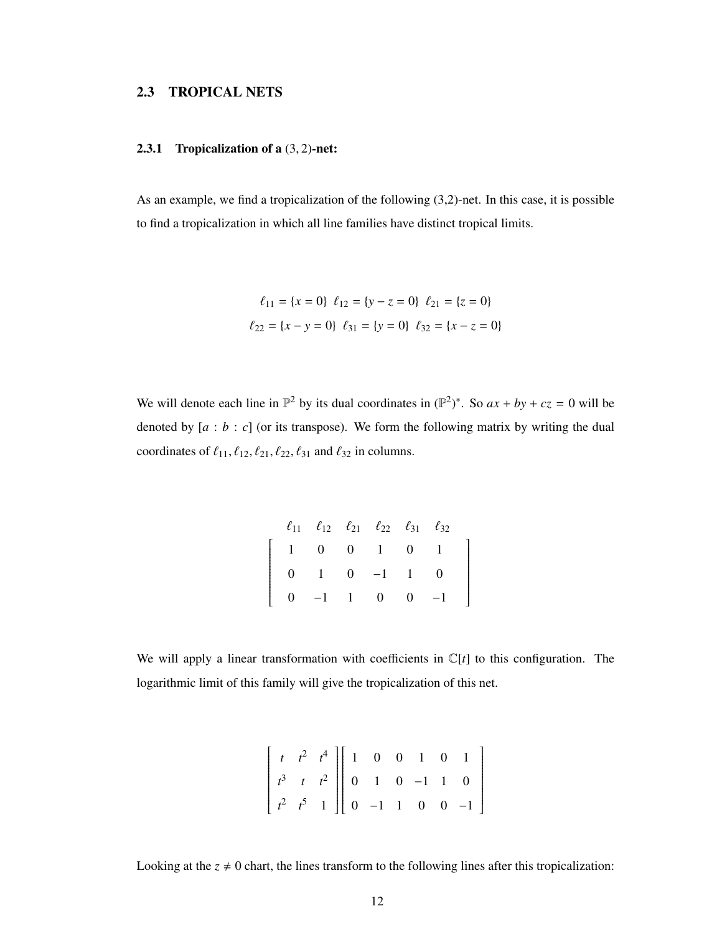### 2.3 TROPICAL NETS

#### 2.3.1 Tropicalization of a (3, 2)-net:

As an example, we find a tropicalization of the following (3,2)-net. In this case, it is possible to find a tropicalization in which all line families have distinct tropical limits.

$$
\ell_{11} = \{x = 0\} \quad \ell_{12} = \{y - z = 0\} \quad \ell_{21} = \{z = 0\}
$$
\n
$$
\ell_{22} = \{x - y = 0\} \quad \ell_{31} = \{y = 0\} \quad \ell_{32} = \{x - z = 0\}
$$

We will denote each line in  $\mathbb{P}^2$  by its dual coordinates in  $(\mathbb{P}^2)^*$ . So  $ax + by + cz = 0$  will be denoted by  $[a : b : c]$  (or its transpose). We form the following matrix by writing the dual coordinates of  $\ell_{11}, \ell_{12}, \ell_{21}, \ell_{22}, \ell_{31}$  and  $\ell_{32}$  in columns.

|  |  |                                                        | $\ell_{11}$ $\ell_{12}$ $\ell_{21}$ $\ell_{22}$ $\ell_{31}$ $\ell_{32}$ |  |
|--|--|--------------------------------------------------------|-------------------------------------------------------------------------|--|
|  |  |                                                        | $1 \t 0 \t 0 \t 1 \t 0 \t 1$                                            |  |
|  |  | $\begin{vmatrix} 0 & 1 & 0 & -1 & 1 & 0 \end{vmatrix}$ |                                                                         |  |
|  |  |                                                        | $\begin{bmatrix} 0 & -1 & 1 & 0 & 0 & -1 \end{bmatrix}$                 |  |

We will apply a linear transformation with coefficients in  $\mathbb{C}[t]$  to this configuration. The logarithmic limit of this family will give the tropicalization of this net.

| $\begin{bmatrix} t & t^2 & t^4 \\ t^3 & t & t^2 \\ t^2 & t^5 & 1 \end{bmatrix}$ $\begin{bmatrix} 1 & 0 & 0 & 1 & 0 & 1 \\ 0 & 1 & 0 & -1 & 1 & 0 \\ 0 & -1 & 1 & 0 & 0 & -1 \end{bmatrix}$ |  |  |  |  |
|--------------------------------------------------------------------------------------------------------------------------------------------------------------------------------------------|--|--|--|--|

Looking at the  $z \neq 0$  chart, the lines transform to the following lines after this tropicalization: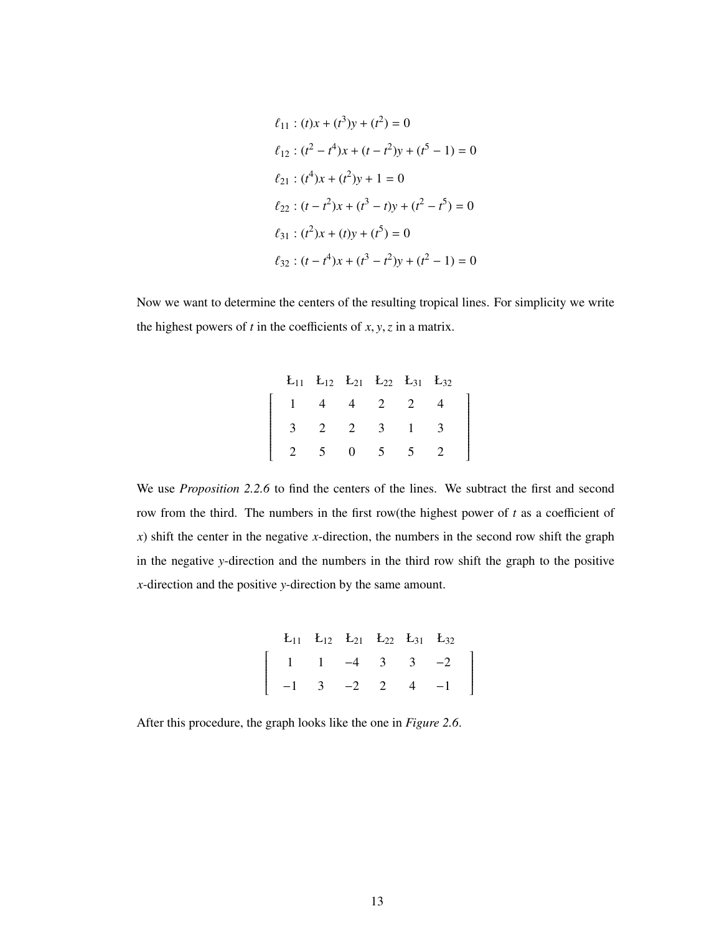$$
\ell_{11} : (t)x + (t^3)y + (t^2) = 0
$$
  
\n
$$
\ell_{12} : (t^2 - t^4)x + (t - t^2)y + (t^5 - 1) = 0
$$
  
\n
$$
\ell_{21} : (t^4)x + (t^2)y + 1 = 0
$$
  
\n
$$
\ell_{22} : (t - t^2)x + (t^3 - t)y + (t^2 - t^5) = 0
$$
  
\n
$$
\ell_{31} : (t^2)x + (t)y + (t^5) = 0
$$
  
\n
$$
\ell_{32} : (t - t^4)x + (t^3 - t^2)y + (t^2 - 1) = 0
$$

Now we want to determine the centers of the resulting tropical lines. For simplicity we write the highest powers of *<sup>t</sup>* in the coefficients of *<sup>x</sup>*, *<sup>y</sup>*,*<sup>z</sup>* in a matrix.

|  |                                                      |  | $E_{11}$ $E_{12}$ $E_{21}$ $E_{22}$ $E_{31}$ $E_{32}$          |  |
|--|------------------------------------------------------|--|----------------------------------------------------------------|--|
|  |                                                      |  | $\begin{vmatrix} 1 & 4 & 4 & 2 & 2 & 4 \end{vmatrix}$          |  |
|  | $\begin{array}{ ccc } 3 & 2 & 2 & 3 & 1 \end{array}$ |  | $\begin{array}{ccc} 3 \end{array}$                             |  |
|  |                                                      |  | $\begin{array}{ccccccccc} & 2 & 5 & 0 & 5 & 5 & 2 \end{array}$ |  |

We use *Proposition 2.2.6* to find the centers of the lines. We subtract the first and second row from the third. The numbers in the first row(the highest power of *t* as a coefficient of *x*) shift the center in the negative *x*-direction, the numbers in the second row shift the graph in the negative *y*-direction and the numbers in the third row shift the graph to the positive *x*-direction and the positive *y*-direction by the same amount.

```
E_{11} E_{12} E_{21} E_{22} E_{31} E_{32}\begin{bmatrix} 1 \end{bmatrix}\overline{\phantom{a}}−1
                   1
                   3
                             −4
                             -23
                                           2
                                                      3
                                                      4
                                                                -2−1
                                                                            1
```
After this procedure, the graph looks like the one in *Figure 2.6*.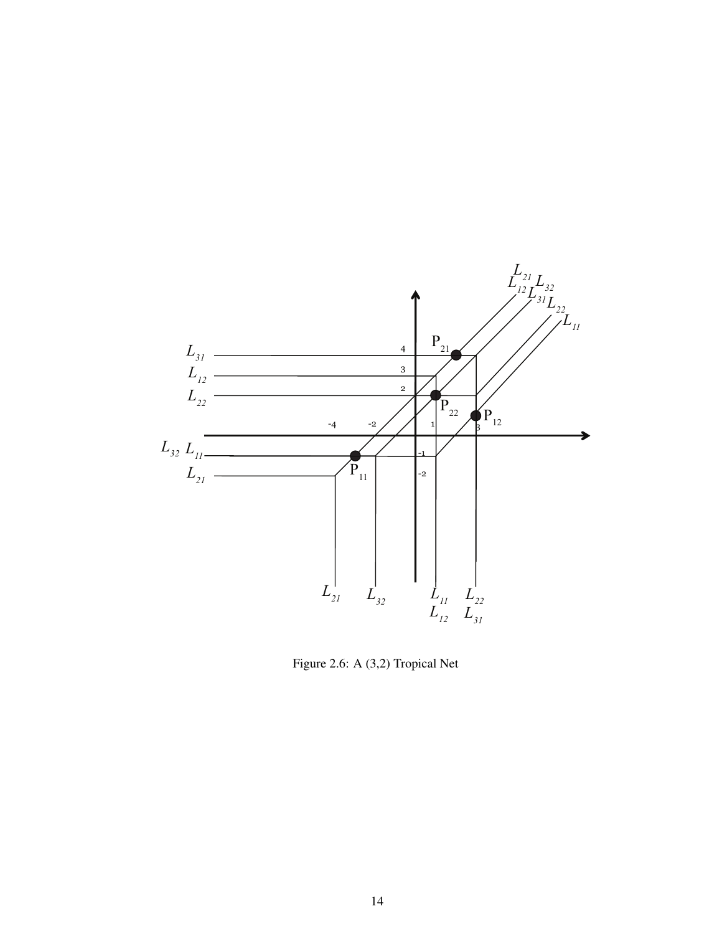

Figure 2.6: A (3,2) Tropical Net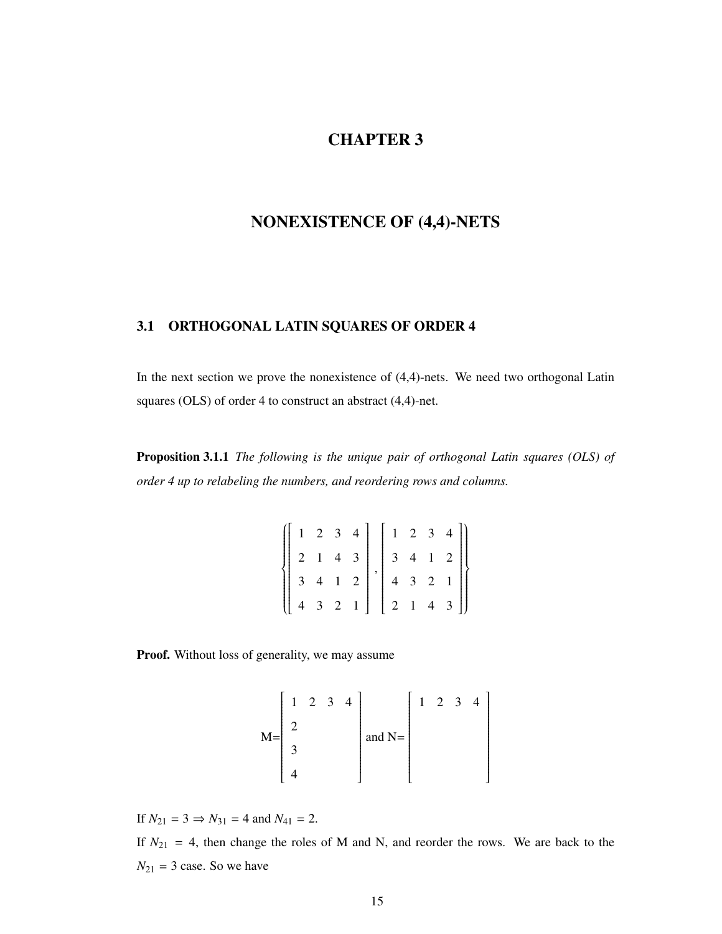### CHAPTER 3

# NONEXISTENCE OF (4,4)-NETS

## 3.1 ORTHOGONAL LATIN SQUARES OF ORDER 4

In the next section we prove the nonexistence of (4,4)-nets. We need two orthogonal Latin squares (OLS) of order 4 to construct an abstract (4,4)-net.

Proposition 3.1.1 *The following is the unique pair of orthogonal Latin squares (OLS) of order 4 up to relabeling the numbers, and reordering rows and columns.*

|  |  | $\left\{ \left[ \begin{array}{rrrrr} 1 & 2 & 3 & 4 \\ 2 & 1 & 4 & 3 \\ 3 & 4 & 1 & 2 \\ 4 & 3 & 2 & 1 \end{array} \right], \left[ \begin{array}{rrrrr} 1 & 2 & 3 & 4 \\ 3 & 4 & 1 & 2 \\ 4 & 3 & 2 & 1 \\ 2 & 1 & 4 & 3 \end{array} \right] \right\}$ |  |  |  |
|--|--|-------------------------------------------------------------------------------------------------------------------------------------------------------------------------------------------------------------------------------------------------------|--|--|--|
|  |  |                                                                                                                                                                                                                                                       |  |  |  |
|  |  |                                                                                                                                                                                                                                                       |  |  |  |

Proof. Without loss of generality, we may assume

$$
M = \begin{bmatrix} 1 & 2 & 3 & 4 \\ 2 & & & \\ 3 & & & \\ 4 & & & \end{bmatrix} \text{ and } N = \begin{bmatrix} 1 & 2 & 3 & 4 \\ & & & \\ & & & \\ & & & \\ & & & \\ & & & \\ & & & & \end{bmatrix}
$$

If  $N_{21} = 3 \Rightarrow N_{31} = 4$  and  $N_{41} = 2$ .

If  $N_{21} = 4$ , then change the roles of M and N, and reorder the rows. We are back to the  $N_{21} = 3$  case. So we have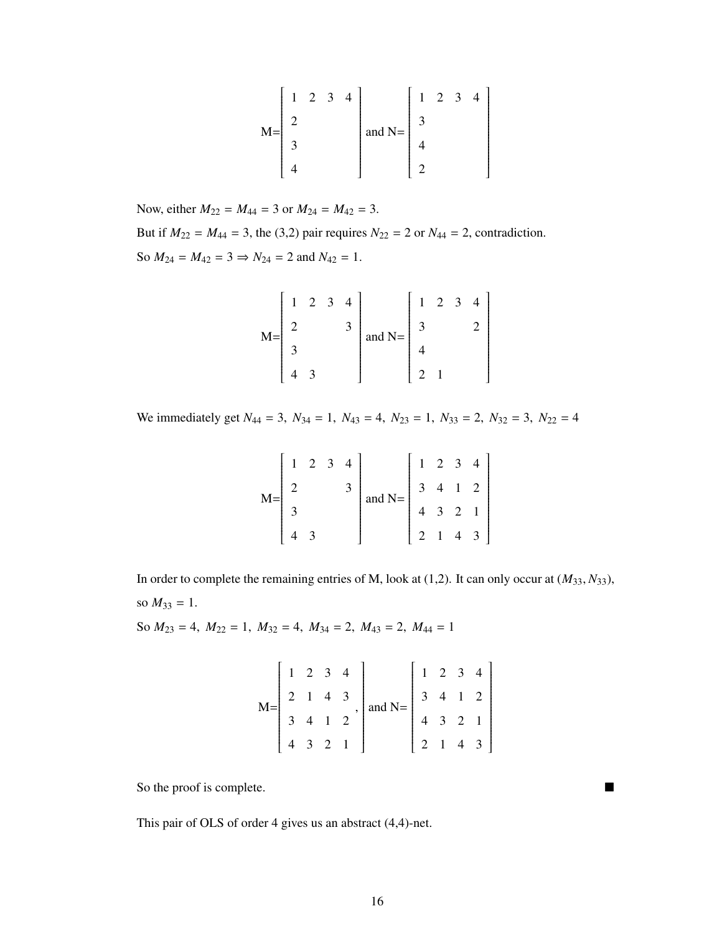$$
M = \begin{bmatrix} 1 & 2 & 3 & 4 \\ 2 & & & \\ 3 & & & \\ 4 & & & \end{bmatrix} \text{ and } N = \begin{bmatrix} 1 & 2 & 3 & 4 \\ 3 & & & \\ 4 & & & \\ 2 & & & \end{bmatrix}
$$

Now, either  $M_{22} = M_{44} = 3$  or  $M_{24} = M_{42} = 3$ . But if  $M_{22} = M_{44} = 3$ , the (3,2) pair requires  $N_{22} = 2$  or  $N_{44} = 2$ , contradiction. So  $M_{24} = M_{42} = 3 \Rightarrow N_{24} = 2$  and  $N_{42} = 1$ .

$$
M = \begin{bmatrix} 1 & 2 & 3 & 4 \\ 2 & & & 3 \\ 3 & & & \\ 4 & 3 & & \end{bmatrix} \text{ and } N = \begin{bmatrix} 1 & 2 & 3 & 4 \\ 3 & & & 2 \\ 4 & & & \\ 2 & 1 & & \\ 1 & & & \\ 2 & 1 & & \\ 2 & 1 & & \\ 2 & 1 & & \\ 2 & 1 & & \\ 2 & 1 & & \\ 2 & 1 & & \\ 2 & 2 & 1 & & \\ 2 & 2 & 2 & 2 & \\ 2 & 2 & 2 & 2 & 2 \\ 2 & 2 & 2 & 2 & 2 \\ 2 & 2 & 2 & 2 & 2 \\ 2 & 2 & 2 & 2 & 2 \\ 2 & 2 & 2 & 2 & 2 \\ 2 & 2 & 2 & 2 & 2 \\ 2 & 2 & 2 & 2 & 2 \\ 2 & 2 & 2 & 2 & 2 \\ 2 & 2 & 2 & 2 & 2 \\ 2 & 2 & 2 & 2 & 2 \\ 2 & 2 & 2 & 2 & 2 \\ 2 & 2 & 2 & 2 & 2 \\ 2 & 2 & 2 & 2 & 2 \\ 2 & 2 & 2 & 2 & 2 \\ 2 & 2 & 2 & 2 & 2 \\ 2 & 2 & 2 & 2 & 2 \\ 2 & 2 & 2 & 2 & 2 \\ 2 & 2 & 2 & 2 & 2 \\ 2 & 2 & 2 & 2 & 2 \\ 2 & 2 & 2 & 2 & 2 \\ 2 & 2 & 2 & 2 & 2 \\ 2 & 2 & 2 & 2 & 2 \\ 2 & 2 & 2 & 2 & 2 \\ 2 & 2 & 2 & 2 & 2 \\ 2 & 2 & 2 & 2 & 2 \\ 2 & 2 & 2 & 2 & 2 \\ 2 & 2 & 2 & 2 & 2 \\ 2 & 2 & 2 & 2 & 2 \\ 2 & 2 & 2 & 2 & 2 \\ 2 & 2 & 2 & 2 & 2 \\ 2 & 2 & 2 & 2 & 2 \\ 2 & 2 & 2 & 2 & 2 \\ 2 & 2 & 2 & 2 & 2 \\ 2 & 2 & 2 & 2 & 2 \\ 2 & 2 & 2 & 2 & 2 \\ 2 & 2 & 2 & 2 & 2 \\ 2 & 2 & 2 & 2 & 2 \\ 2 & 2 & 2 & 2 & 2 \\ 2 & 2 & 2 & 2 & 2 \\ 2
$$

We immediately get  $N_{44} = 3$ ,  $N_{34} = 1$ ,  $N_{43} = 4$ ,  $N_{23} = 1$ ,  $N_{33} = 2$ ,  $N_{32} = 3$ ,  $N_{22} = 4$ 

|       |  | $1 \t2 \t3 \t4$ |          | $\mathbf{1}$   |  | $2 \quad 3 \quad 4$                                              |
|-------|--|-----------------|----------|----------------|--|------------------------------------------------------------------|
| $M =$ |  |                 | and $N=$ |                |  | $\begin{array}{cccc} 3 & 4 & 1 & 2 \\ 4 & 3 & 2 & 1 \end{array}$ |
|       |  |                 |          |                |  |                                                                  |
|       |  |                 |          | $\overline{2}$ |  | $4 \quad 3$                                                      |

In order to complete the remaining entries of M, look at (1,2). It can only occur at (*M*33, *<sup>N</sup>*33), so  $M_{33} = 1$ .

So  $M_{23} = 4$ ,  $M_{22} = 1$ ,  $M_{32} = 4$ ,  $M_{34} = 2$ ,  $M_{43} = 2$ ,  $M_{44} = 1$ 

$$
M = \begin{bmatrix} 1 & 2 & 3 & 4 \\ 2 & 1 & 4 & 3 \\ 3 & 4 & 1 & 2 \\ 4 & 3 & 2 & 1 \end{bmatrix} and N = \begin{bmatrix} 1 & 2 & 3 & 4 \\ 3 & 4 & 1 & 2 \\ 4 & 3 & 2 & 1 \\ 2 & 1 & 4 & 3 \end{bmatrix}
$$

So the proof is complete.

This pair of OLS of order 4 gives us an abstract (4,4)-net.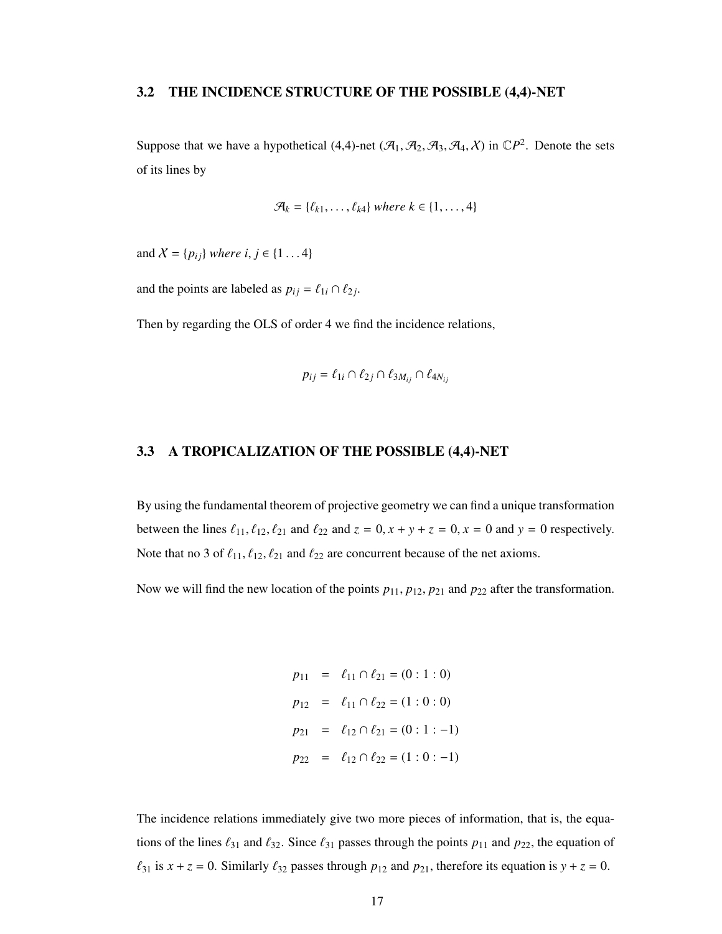#### 3.2 THE INCIDENCE STRUCTURE OF THE POSSIBLE (4,4)-NET

Suppose that we have a hypothetical  $(4,4)$ -net  $(\mathcal{A}_1, \mathcal{A}_2, \mathcal{A}_3, \mathcal{A}_4, \chi)$  in  $\mathbb{C}P^2$ . Denote the sets of its lines by

$$
\mathcal{A}_k = \{\ell_{k1}, \ldots, \ell_{k4}\} \text{ where } k \in \{1, \ldots, 4\}
$$

and  $X = \{p_{ij}\}\$  *where i*,  $j \in \{1...4\}$ 

and the points are labeled as  $p_{ij} = \ell_{1i} \cap \ell_{2j}$ .

Then by regarding the OLS of order 4 we find the incidence relations,

$$
p_{ij} = \ell_{1i} \cap \ell_{2j} \cap \ell_{3M_{ij}} \cap \ell_{4N_{ij}}
$$

#### 3.3 A TROPICALIZATION OF THE POSSIBLE (4,4)-NET

By using the fundamental theorem of projective geometry we can find a unique transformation between the lines  $\ell_{11}$ ,  $\ell_{12}$ ,  $\ell_{21}$  and  $\ell_{22}$  and  $z = 0$ ,  $x + y + z = 0$ ,  $x = 0$  and  $y = 0$  respectively. Note that no 3 of  $\ell_{11}, \ell_{12}, \ell_{21}$  and  $\ell_{22}$  are concurrent because of the net axioms.

Now we will find the new location of the points  $p_{11}$ ,  $p_{12}$ ,  $p_{21}$  and  $p_{22}$  after the transformation.

$$
p_{11} = \ell_{11} \cap \ell_{21} = (0:1:0)
$$
  
\n
$$
p_{12} = \ell_{11} \cap \ell_{22} = (1:0:0)
$$
  
\n
$$
p_{21} = \ell_{12} \cap \ell_{21} = (0:1:-1)
$$
  
\n
$$
p_{22} = \ell_{12} \cap \ell_{22} = (1:0:-1)
$$

The incidence relations immediately give two more pieces of information, that is, the equations of the lines  $\ell_{31}$  and  $\ell_{32}$ . Since  $\ell_{31}$  passes through the points  $p_{11}$  and  $p_{22}$ , the equation of  $\ell_{31}$  is  $x + z = 0$ . Similarly  $\ell_{32}$  passes through  $p_{12}$  and  $p_{21}$ , therefore its equation is  $y + z = 0$ .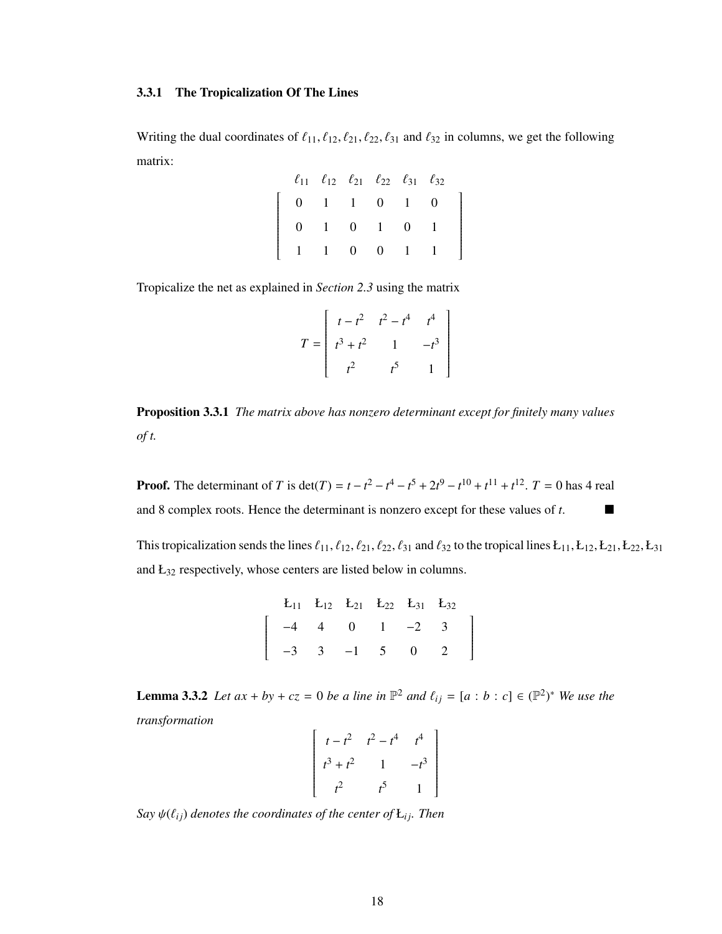#### 3.3.1 The Tropicalization Of The Lines

Writing the dual coordinates of  $\ell_{11}, \ell_{12}, \ell_{21}, \ell_{22}, \ell_{31}$  and  $\ell_{32}$  in columns, we get the following matrix:

1

|                                                              | $\ell_{11}$ $\ell_{12}$ $\ell_{21}$ $\ell_{22}$ $\ell_{31}$ $\ell_{32}$ |  |  |  |
|--------------------------------------------------------------|-------------------------------------------------------------------------|--|--|--|
| $\begin{array}{ rrrrrrrr} 0 & 1 & 1 & 0 & 1 & 0 \end{array}$ |                                                                         |  |  |  |
|                                                              | $0 \t1 \t0 \t1 \t0 \t1$                                                 |  |  |  |
| $1 \t1 \t0 \t0 \t1 \t1$                                      |                                                                         |  |  |  |

Tropicalize the net as explained in *Section 2.3* using the matrix

$$
T = \begin{bmatrix} t - t^2 & t^2 - t^4 & t^4 \\ t^3 + t^2 & 1 & -t^3 \\ t^2 & t^5 & 1 \end{bmatrix}
$$

Proposition 3.3.1 *The matrix above has nonzero determinant except for finitely many values of t.*

**Proof.** The determinant of *T* is det(*T*) =  $t - t^2 - t^4 - t^5 + 2t^9 - t^{10} + t^{11} + t^{12}$ . *T* = 0 has 4 real and 8 complex roots. Hence the determinant is nonzero except for these values of *t*.

This tropicalization sends the lines  $\ell_{11}$ ,  $\ell_{12}$ ,  $\ell_{21}$ ,  $\ell_{22}$ ,  $\ell_{31}$  and  $\ell_{32}$  to the tropical lines  $L_{11}$ ,  $L_{12}$ ,  $L_{21}$ ,  $L_{22}$ ,  $L_{31}$ and Ł<sup>32</sup> respectively, whose centers are listed below in columns.

> 1  $\overline{\phantom{a}}$

| $E_{11}$ $E_{12}$ $E_{21}$ $E_{22}$ $E_{31}$ $E_{32}$                              |  |  |  |
|------------------------------------------------------------------------------------|--|--|--|
| $\begin{bmatrix} -4 & 4 & 0 & 1 & -2 & 3 \\ -3 & 3 & -1 & 5 & 0 & 2 \end{bmatrix}$ |  |  |  |
|                                                                                    |  |  |  |

**Lemma 3.3.2** *Let*  $ax + by + cz = 0$  *be a line in*  $\mathbb{P}^2$  *and*  $\ell_{ij} = [a : b : c] \in (\mathbb{P}^2)^*$  *We use the transformation*  $\mathbf{r}$  $\overline{1}$ 

$$
\begin{bmatrix} t - t^2 & t^2 - t^4 & t^4 \\ t^3 + t^2 & 1 & -t^3 \\ t^2 & t^5 & 1 \end{bmatrix}
$$

*Say*  $\psi(\ell_{ij})$  *denotes the coordinates of the center of*  $E_{ij}$ *. Then*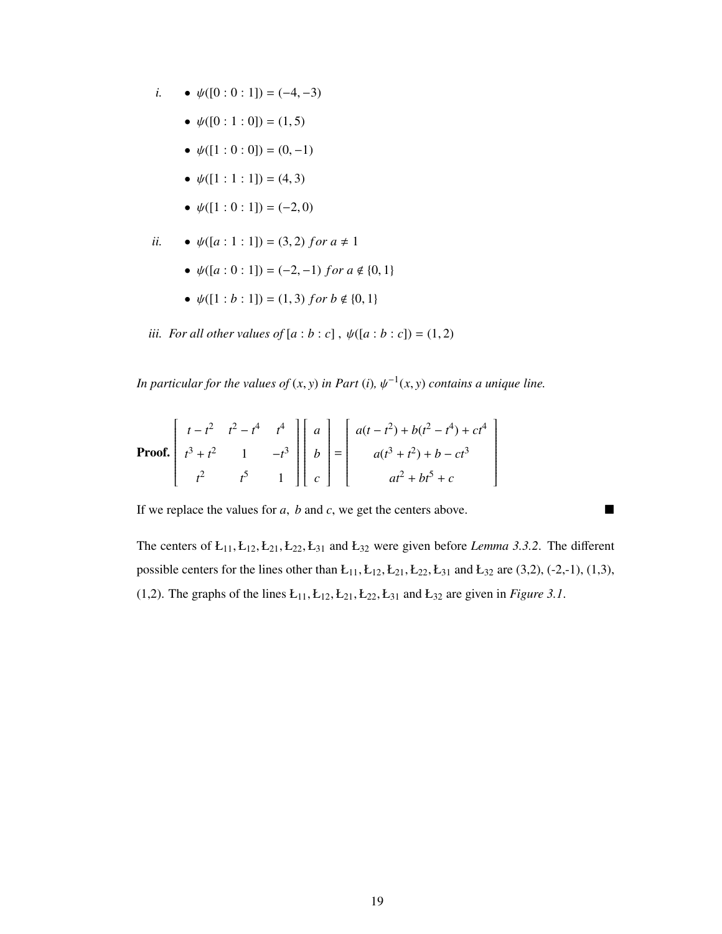- *i.*  $\psi([0:0:1]) = (-4,-3)$ 
	- $\psi([0:1:0]) = (1, 5)$
	- $\psi([1:0:0]) = (0,-1)$
	- $\psi([1:1:1]) = (4, 3)$
	- $\psi([1:0:1]) = (-2,0)$

*ii.* • 
$$
\psi([a:1:1]) = (3,2)
$$
 for  $a \neq 1$ 

- $\psi([a:0:1]) = (-2,-1)$  *for*  $a \notin \{0,1\}$
- $\psi([1:b:1]) = (1,3)$  *for b*  $\notin \{0,1\}$

*iii. For all other values of*  $[a:b:c]$ ,  $\psi([a:b:c]) = (1,2)$ 

*In particular for the values of*  $(x, y)$  *in Part*  $(i)$ *,*  $\psi^{-1}(x, y)$  *contains a unique line.* 

**Proof.** 
$$
\begin{bmatrix} t - t^2 & t^2 - t^4 & t^4 \ t^3 + t^2 & 1 & -t^3 \ t^2 & t^5 & 1 \end{bmatrix} \begin{bmatrix} a \\ b \\ c \end{bmatrix} = \begin{bmatrix} a(t - t^2) + b(t^2 - t^4) + ct^4 \\ a(t^3 + t^2) + b - ct^3 \\ at^2 + bt^5 + c \end{bmatrix}
$$

If we replace the values for *<sup>a</sup>*, *<sup>b</sup>* and *<sup>c</sup>*, we get the centers above.

The centers of  $E_{11}, E_{12}, E_{21}, E_{22}, E_{31}$  and  $E_{32}$  were given before *Lemma 3.3.2*. The different possible centers for the lines other than  $L_{11}$ ,  $L_{12}$ ,  $L_{21}$ ,  $L_{22}$ ,  $L_{31}$  and  $L_{32}$  are (3,2), (-2,-1), (1,3), (1,2). The graphs of the lines  $E_{11}, E_{12}, E_{21}, E_{22}, E_{31}$  and  $E_{32}$  are given in *Figure 3.1*.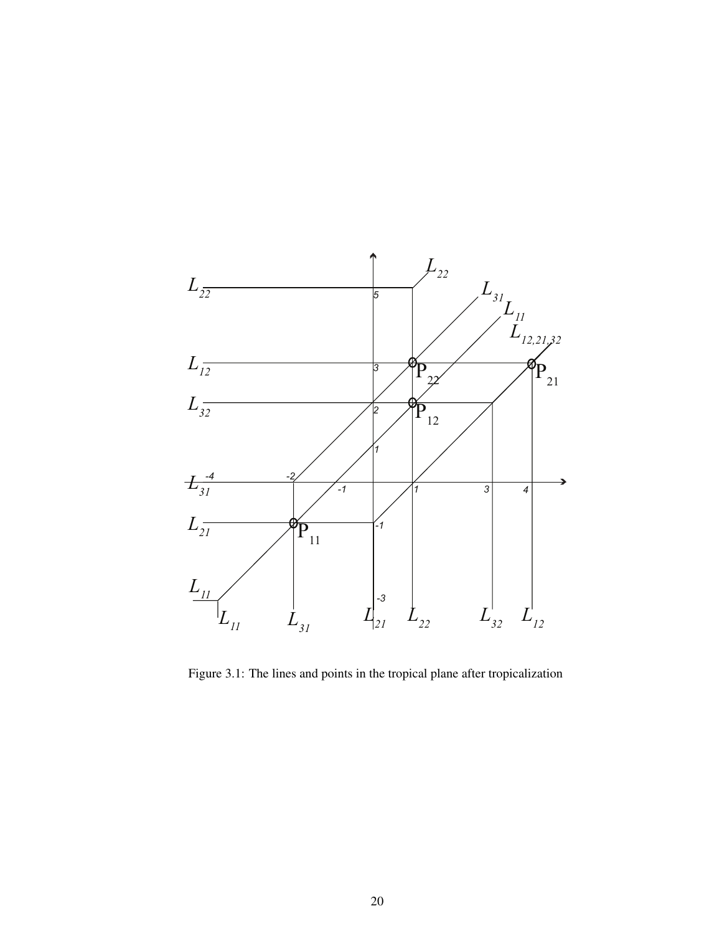

Figure 3.1: The lines and points in the tropical plane after tropicalization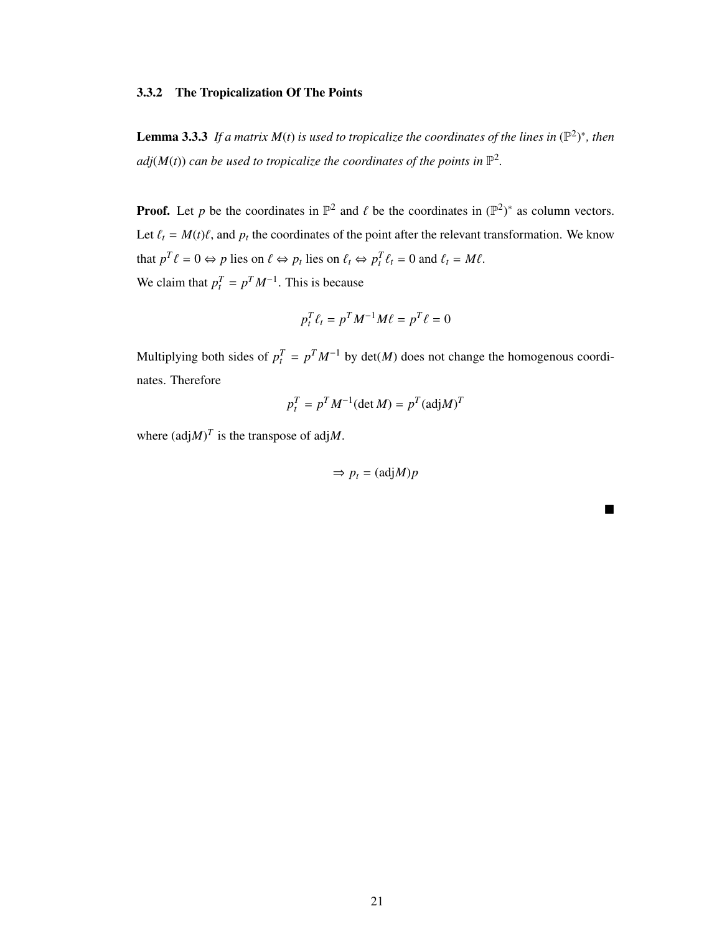#### 3.3.2 The Tropicalization Of The Points

**Lemma 3.3.3** If a matrix  $M(t)$  is used to tropicalize the coordinates of the lines in  $(\mathbb{P}^2)^*$ , then  $adj(M(t))$  can be used to tropicalize the coordinates of the points in  $\mathbb{P}^2$ .

**Proof.** Let *p* be the coordinates in  $\mathbb{P}^2$  and  $\ell$  be the coordinates in  $(\mathbb{P}^2)^*$  as column vectors. Let  $\ell_t = M(t)\ell$ , and  $p_t$  the coordinates of the point after the relevant transformation. We know that  $p^T \ell = 0 \Leftrightarrow p$  lies on  $\ell \Leftrightarrow p_t$  lies on  $\ell_t \Leftrightarrow p_t^T \ell_t = 0$  and  $\ell_t = M\ell$ . We claim that  $p_t^T = p^T M^{-1}$ . This is because

$$
p_t^T \ell_t = p^T M^{-1} M \ell = p^T \ell = 0
$$

Multiplying both sides of  $p_t^T = p^T M^{-1}$  by det(*M*) does not change the homogenous coordinates. Therefore

$$
p_t^T = p^T M^{-1} (\det M) = p^T (\text{adj} M)^T
$$

where  $(\text{adj}M)^T$  is the transpose of adj*M*.

$$
\Rightarrow p_t = (adj M)p
$$

■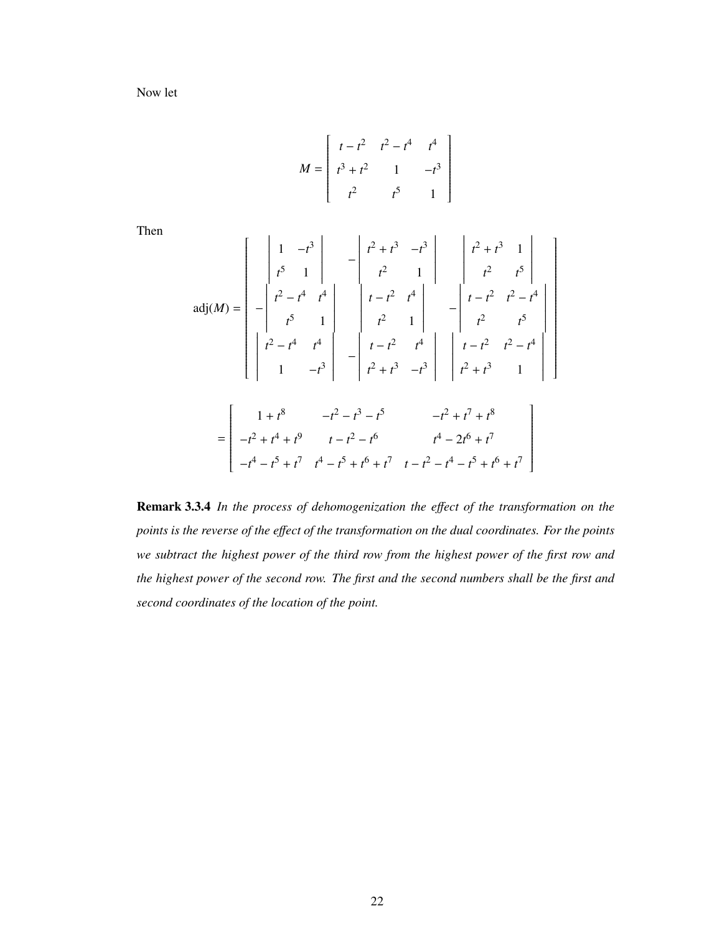Now let

$$
M = \begin{bmatrix} t - t^2 & t^2 - t^4 & t^4 \\ t^3 + t^2 & 1 & -t^3 \\ t^2 & t^5 & 1 \end{bmatrix}
$$

Then

$$
adj(M) = \begin{bmatrix} 1 & -t^3 \\ t^5 & 1 \\ t^2 & t^4 \\ t^2 & 1 \end{bmatrix} - t^2 + t^3 - t^3 \begin{bmatrix} t^2 + t^3 & 1 \\ t^2 & 1 \\ t^2 & t^5 \\ t^2 & 1 \end{bmatrix} - t^2 \begin{bmatrix} t^2 + t^3 & 1 \\ t^2 & t^5 \\ t^2 & 1 \end{bmatrix}
$$
  
\n
$$
adj(M) = \begin{bmatrix} 1 + t^8 & -t^3 \\ 1 & -t^3 \end{bmatrix} - t^2 \begin{bmatrix} t - t^2 & t^4 \\ t - t^2 & t^4 \\ t^2 + t^3 & -t^3 \end{bmatrix} - t^2 \begin{bmatrix} t - t^2 & t^2 - t^4 \\ t^2 + t^3 & 1 \\ t^2 + t^3 & 1 \end{bmatrix}
$$
  
\n
$$
= \begin{bmatrix} 1 + t^8 & -t^2 - t^3 - t^5 & -t^2 + t^7 + t^8 \\ -t^2 + t^4 + t^9 & t - t^2 - t^6 & t^4 - 2t^6 + t^7 \\ -t^4 - t^5 + t^7 & t^4 - t^5 + t^6 + t^7 & t - t^2 - t^4 - t^5 + t^6 + t^7 \end{bmatrix}
$$

1

Remark 3.3.4 *In the process of dehomogenization the e*ff*ect of the transformation on the points is the reverse of the e*ff*ect of the transformation on the dual coordinates. For the points we subtract the highest power of the third row from the highest power of the first row and the highest power of the second row. The first and the second numbers shall be the first and second coordinates of the location of the point.*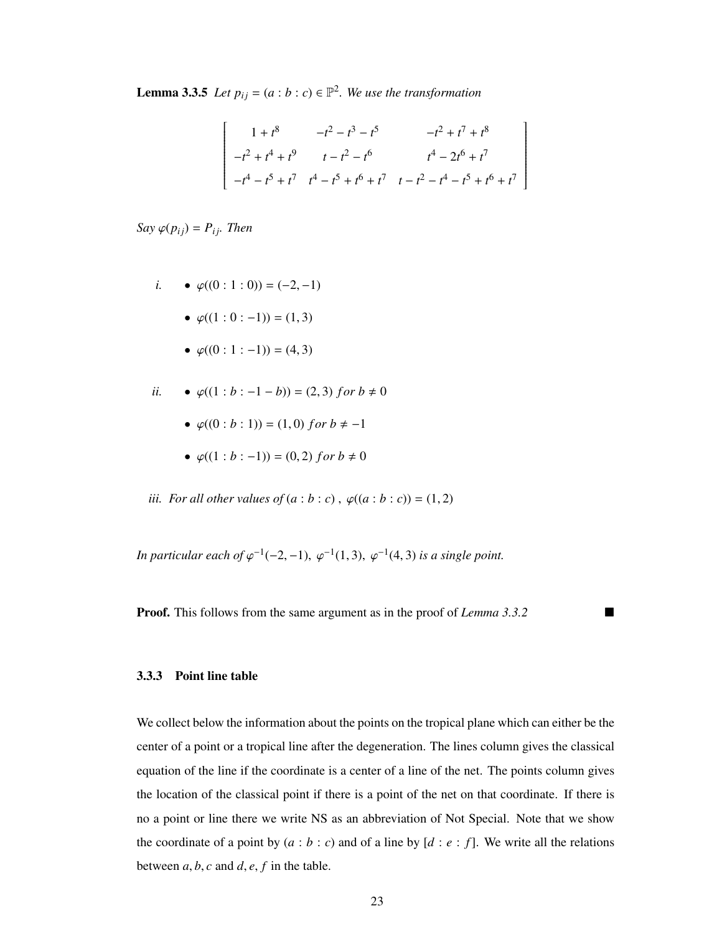**Lemma 3.3.5** *Let*  $p_{ij} = (a:b:c) \in \mathbb{P}^2$ . We use the transformation

$$
\begin{bmatrix}\n1+t^8 & -t^2 - t^3 - t^5 & -t^2 + t^7 + t^8 \\
-t^2 + t^4 + t^9 & t - t^2 - t^6 & t^4 - 2t^6 + t^7 \\
-t^4 - t^5 + t^7 & t^4 - t^5 + t^6 + t^7 & t - t^2 - t^4 - t^5 + t^6 + t^7\n\end{bmatrix}
$$

*Say*  $\varphi(p_{ij}) = P_{ij}$ *. Then* 

i. 
$$
\bullet \varphi((0:1:0)) = (-2,-1)
$$

• 
$$
\varphi((1:0:-1)) = (1,3)
$$

•  $\varphi((0:1:-1)) = (4, 3)$ 

*ii.* 
$$
\bullet \varphi((1:b:-1-b)) = (2,3) for b \neq 0
$$

- $\varphi((0:b:1)) = (1,0)$  *for*  $b \neq -1$
- $\varphi((1 : b : -1)) = (0, 2)$  *for*  $b \neq 0$

*iii. For all other values of*  $(a : b : c)$ ,  $\varphi((a : b : c)) = (1, 2)$ 

*In particular each of*  $\varphi^{-1}(-2, -1)$ ,  $\varphi^{-1}(1, 3)$ ,  $\varphi^{-1}(4, 3)$  *is a single point.* 

**Proof.** This follows from the same argument as in the proof of *Lemma 3.3.2* 

#### 3.3.3 Point line table

We collect below the information about the points on the tropical plane which can either be the center of a point or a tropical line after the degeneration. The lines column gives the classical equation of the line if the coordinate is a center of a line of the net. The points column gives the location of the classical point if there is a point of the net on that coordinate. If there is no a point or line there we write NS as an abbreviation of Not Special. Note that we show the coordinate of a point by  $(a : b : c)$  and of a line by  $[d : e : f]$ . We write all the relations between  $a, b, c$  and  $d, e, f$  in the table.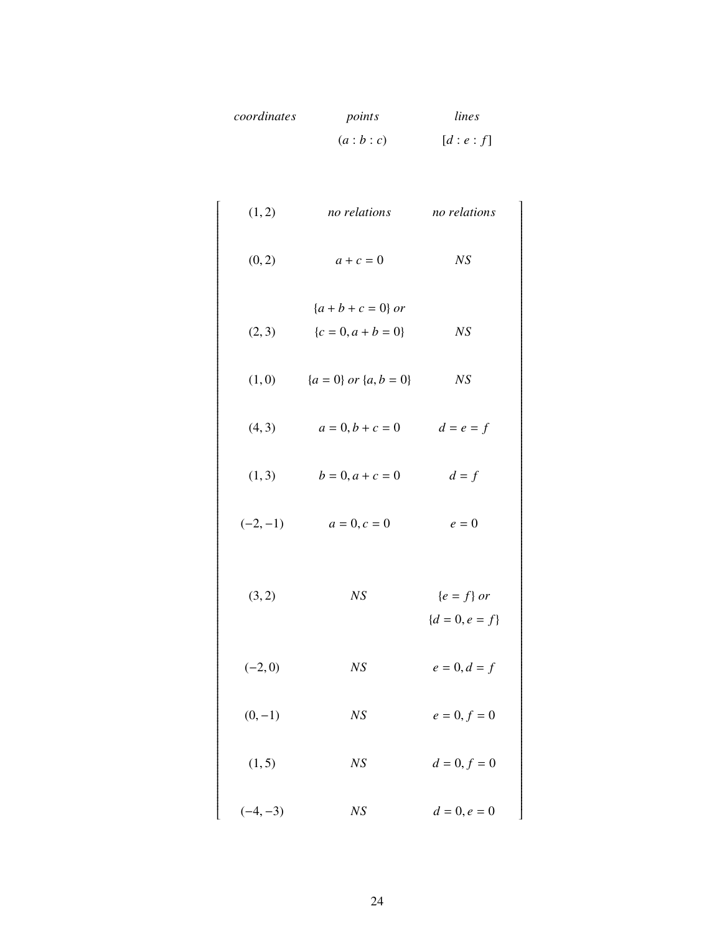| coordinates | points  | lines   |
|-------------|---------|---------|
|             | (a:b:c) | [d:e:f] |

1

ſ

| (1, 2)     | no relations                                 | no relations                     |
|------------|----------------------------------------------|----------------------------------|
| (0, 2)     | $a+c=0$                                      | NS                               |
| (2, 3)     | ${a + b + c = 0}$ or<br>${c = 0, a + b = 0}$ | NS                               |
| (1,0)      | ${a = 0}$ or ${a, b = 0}$                    | NS                               |
| (4, 3)     | $a = 0, b + c = 0$                           | $d = e = f$                      |
| (1, 3)     | $b = 0, a + c = 0$                           | $d = f$                          |
| $(-2,-1)$  | $a = 0, c = 0$                               | $e=0$                            |
| (3, 2)     | NS                                           | ${e = f}$ or<br>${d = 0, e = f}$ |
| $(-2,0)$   | NS                                           | $e = 0, d = f$                   |
| $(0,-1)$   | NS                                           | $e = 0, f = 0$                   |
| (1, 5)     | NS                                           | $d = 0, f = 0$                   |
| $(-4, -3)$ | NS                                           | $d = 0, e = 0$                   |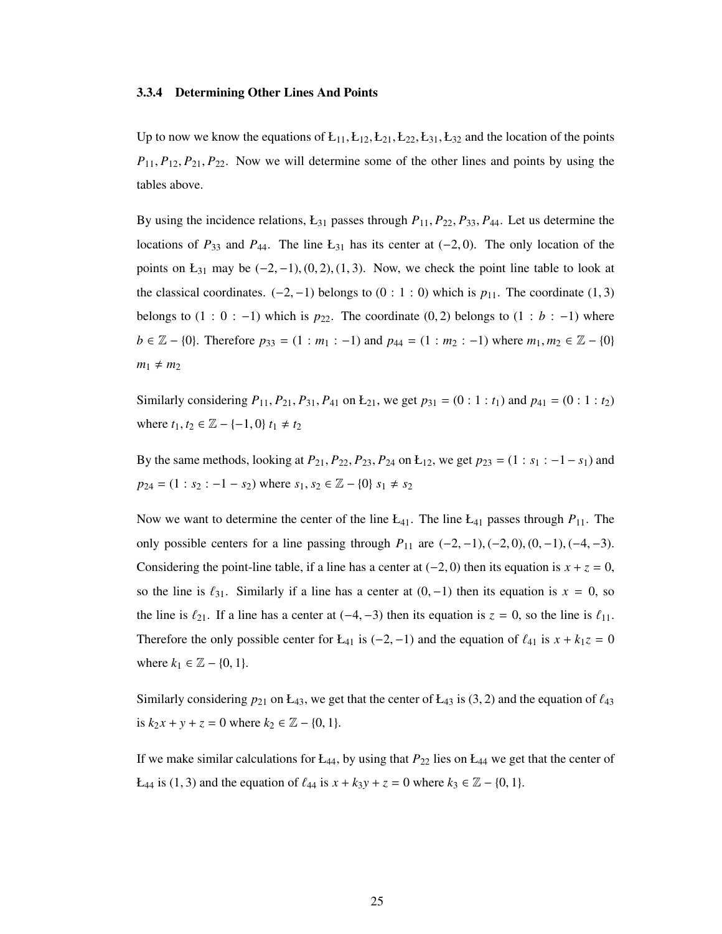#### 3.3.4 Determining Other Lines And Points

Up to now we know the equations of  $E_{11}, E_{12}, E_{21}, E_{22}, E_{31}, E_{32}$  and the location of the points *<sup>P</sup>*11, *<sup>P</sup>*12, *<sup>P</sup>*21, *<sup>P</sup>*22. Now we will determine some of the other lines and points by using the tables above.

By using the incidence relations, Ł<sup>31</sup> passes through *<sup>P</sup>*11, *<sup>P</sup>*22, *<sup>P</sup>*33, *<sup>P</sup>*44. Let us determine the locations of  $P_{33}$  and  $P_{44}$ . The line Ł<sub>31</sub> has its center at (−2, 0). The only location of the points on  $L_{31}$  may be  $(-2, -1)$ ,  $(0, 2)$ ,  $(1, 3)$ . Now, we check the point line table to look at the classical coordinates.  $(-2, -1)$  belongs to  $(0 : 1 : 0)$  which is  $p_{11}$ . The coordinate  $(1, 3)$ belongs to  $(1 : 0 : -1)$  which is  $p_{22}$ . The coordinate  $(0, 2)$  belongs to  $(1 : b : -1)$  where *b* ∈  $\mathbb{Z}$  − {0}. Therefore  $p_{33} = (1 : m_1 : -1)$  and  $p_{44} = (1 : m_2 : -1)$  where  $m_1, m_2 \in \mathbb{Z}$  − {0}  $m_1 \neq m_2$ 

Similarly considering  $P_{11}$ ,  $P_{21}$ ,  $P_{31}$ ,  $P_{41}$  on  $E_{21}$ , we get  $p_{31} = (0 : 1 : t_1)$  and  $p_{41} = (0 : 1 : t_2)$ where  $t_1, t_2 \in \mathbb{Z} - \{-1, 0\} \, t_1 \neq t_2$ 

By the same methods, looking at  $P_{21}$ ,  $P_{22}$ ,  $P_{23}$ ,  $P_{24}$  on  $L_{12}$ , we get  $p_{23} = (1 : s_1 : -1 - s_1)$  and  $p_{24} = (1 : s_2 : -1 - s_2)$  where  $s_1, s_2 \in \mathbb{Z} - \{0\}$   $s_1 \neq s_2$ 

Now we want to determine the center of the line  $L_{41}$ . The line  $L_{41}$  passes through  $P_{11}$ . The only possible centers for a line passing through  $P_{11}$  are  $(-2, -1)$ ,  $(-2, 0)$ ,  $(0, -1)$ ,  $(-4, -3)$ . Considering the point-line table, if a line has a center at  $(-2, 0)$  then its equation is  $x + z = 0$ , so the line is  $\ell_{31}$ . Similarly if a line has a center at  $(0, -1)$  then its equation is  $x = 0$ , so the line is  $\ell_{21}$ . If a line has a center at (−4, −3) then its equation is  $z = 0$ , so the line is  $\ell_{11}$ . Therefore the only possible center for Ł<sub>41</sub> is (-2, -1) and the equation of  $\ell_{41}$  is  $x + k_1z = 0$ where  $k_1 \in \mathbb{Z} - \{0, 1\}.$ 

Similarly considering  $p_{21}$  on  $L_{43}$ , we get that the center of  $L_{43}$  is (3, 2) and the equation of  $\ell_{43}$ is  $k_2 x + y + z = 0$  where  $k_2 \in \mathbb{Z} - \{0, 1\}.$ 

If we make similar calculations for  $E_{44}$ , by using that  $P_{22}$  lies on  $E_{44}$  we get that the center of *L*<sub>44</sub> is (1, 3) and the equation of  $\ell_{44}$  is  $x + k_3y + z = 0$  where  $k_3 \in \mathbb{Z} - \{0, 1\}.$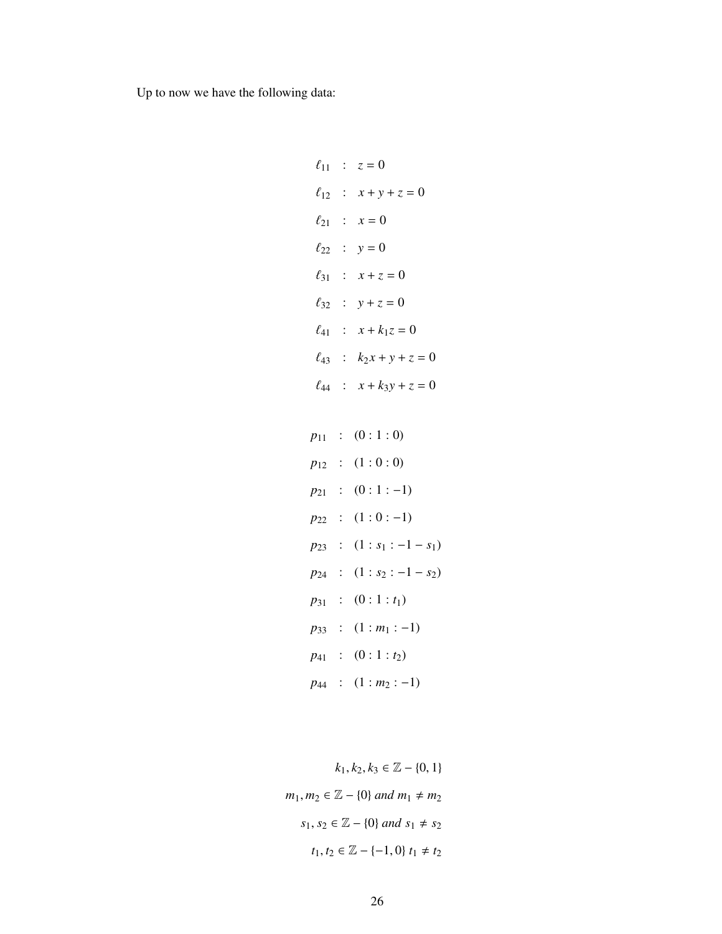Up to now we have the following data:

 $\ell_{11}$  :  $z = 0$  $\ell_{12}$  :  $x + y + z = 0$  $\ell_{21}$  :  $x = 0$  $\ell_{22}$  :  $y = 0$  $\ell_{31}$  :  $x + z = 0$  $\ell_{32}$  :  $y + z = 0$  $\ell_{41}$  :  $x + k_1 z = 0$  $\ell_{43}$  :  $k_2 x + y + z = 0$  $\ell_{44}$  :  $x + k_3y + z = 0$  $p_{11}$  :  $(0:1:0)$  $p_{12}$  :  $(1:0:0)$ *p*<sub>21</sub> : (0 : 1 : −1) *p*<sub>22</sub> : (1 : 0 : −1)  $p_{23}$  :  $(1 : s_1 : -1 - s_1)$ *p*<sub>24</sub> : (1 : *s*<sub>2</sub> : −1 − *s*<sub>2</sub>) *p*<sup>31</sup> : (0 : 1 : *t*1)

*p*<sub>33</sub> :  $(1 : m_1 : -1)$ *p*<sup>41</sup> : (0 : 1 : *t*2)

*p*<sub>44</sub> : (1 : *m*<sub>2</sub> : −1)

 $k_1, k_2, k_3 \in \mathbb{Z} - \{0, 1\}$ *m*<sub>1</sub>*, m*<sub>2</sub> ∈  $\mathbb{Z}$  − {0} *and m*<sub>1</sub> ≠ *m*<sub>2</sub> *s*<sub>1</sub>, *s*<sub>2</sub> ∈  $\mathbb{Z}$  − {0} *and s*<sub>1</sub> ≠ *s*<sub>2</sub> *t*<sub>1</sub>, *t*<sub>2</sub> ∈  $\mathbb{Z}$  − {−1, 0} *t*<sub>1</sub> ≠ *t*<sub>2</sub>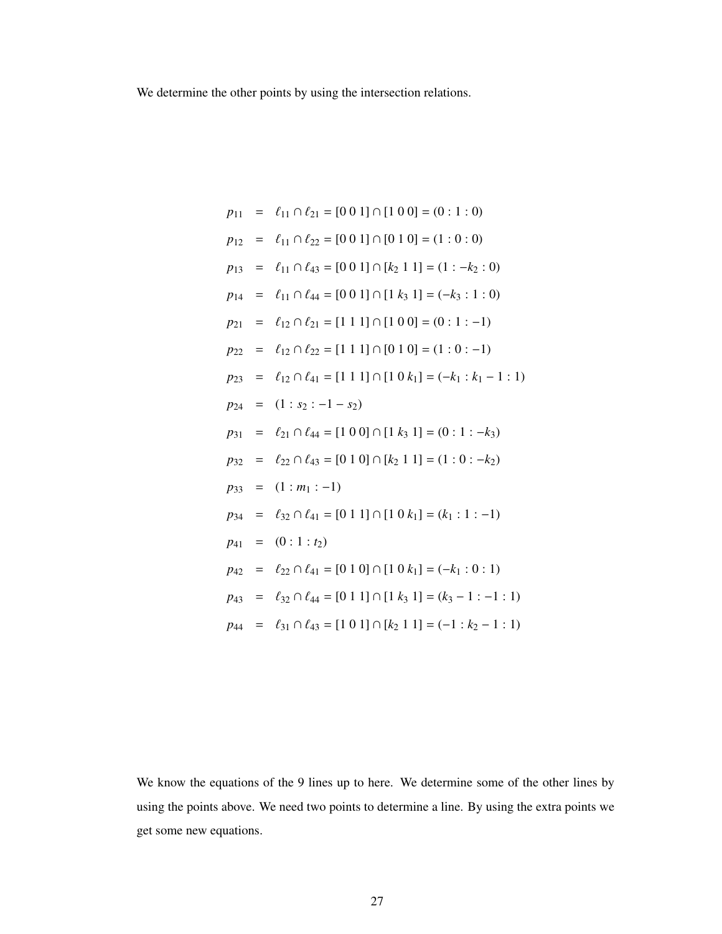We determine the other points by using the intersection relations.

$$
p_{11} = \ell_{11} \cap \ell_{21} = [0 \ 0 \ 1] \cap [1 \ 0 \ 0] = (0 : 1 : 0)
$$
  
\n
$$
p_{12} = \ell_{11} \cap \ell_{22} = [0 \ 0 \ 1] \cap [0 \ 1 \ 0] = (1 : 0 : 0)
$$
  
\n
$$
p_{13} = \ell_{11} \cap \ell_{43} = [0 \ 0 \ 1] \cap [k_2 \ 1 \ 1] = (1 : -k_2 : 0)
$$
  
\n
$$
p_{14} = \ell_{11} \cap \ell_{44} = [0 \ 0 \ 1] \cap [1 \ k_3 \ 1] = (-k_3 : 1 : 0)
$$
  
\n
$$
p_{21} = \ell_{12} \cap \ell_{21} = [1 \ 1 \ 1] \cap [1 \ 0 \ 0] = (0 : 1 : -1)
$$
  
\n
$$
p_{22} = \ell_{12} \cap \ell_{22} = [1 \ 1 \ 1] \cap [0 \ 1 \ 0] = (1 : 0 : -1)
$$
  
\n
$$
p_{23} = \ell_{12} \cap \ell_{41} = [1 \ 1 \ 1] \cap [1 \ 0 \ k_1] = (-k_1 : k_1 - 1 : 1)
$$
  
\n
$$
p_{24} = (1 : s_2 : -1 - s_2)
$$
  
\n
$$
p_{31} = \ell_{21} \cap \ell_{44} = [1 \ 0 \ 0] \cap [1 \ k_3 \ 1] = (0 : 1 : -k_3)
$$
  
\n
$$
p_{32} = \ell_{22} \cap \ell_{43} = [0 \ 1 \ 0] \cap [k_2 \ 1 \ 1] = (1 : 0 : -k_2)
$$
  
\n
$$
p_{33} = (1 : m_1 : -1)
$$
  
\n
$$
p_{34} = \ell_{32} \cap \ell_{41} = [0 \ 1 \ 1] \cap [1 \ 0 \ k_1] = (k_1 : 1 : -1)
$$
  
\n
$$
p_{41} = (0 : 1 : t_2)
$$
  
\n
$$
p_{42} = \ell_{22} \cap \ell_{41} = [0 \ 1 \ 0]
$$

We know the equations of the 9 lines up to here. We determine some of the other lines by using the points above. We need two points to determine a line. By using the extra points we get some new equations.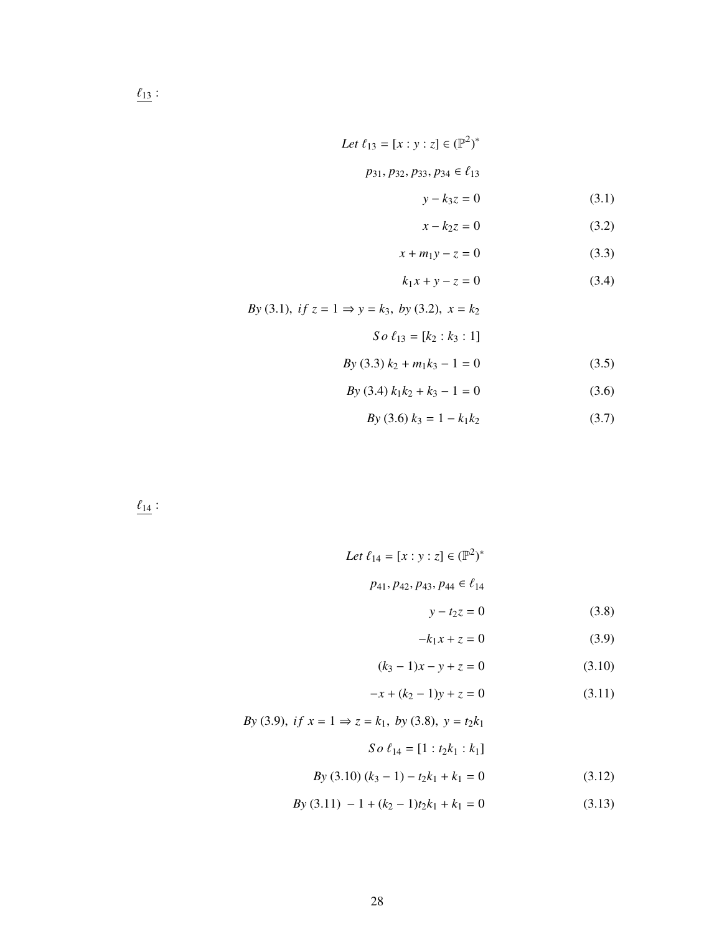$$
Let \ell_{13} = [x:y:z] \in (\mathbb{P}^2)^*
$$

$$
p_{31}, p_{32}, p_{33}, p_{34} \in \ell_{13}
$$

$$
y - k_3 z = 0 \tag{3.1}
$$

$$
x - k_2 z = 0 \tag{3.2}
$$

$$
x + m_1 y - z = 0 \tag{3.3}
$$

$$
k_1 x + y - z = 0 \tag{3.4}
$$

*By* (3.1), *if*  $z = 1 \Rightarrow y = k_3$ , *by* (3.2),  $x = k_2$ 

$$
So \ell_{13} = [k_2 : k_3 : 1]
$$

$$
By (3.3) k2 + m1k3 - 1 = 0
$$
 (3.5)

$$
By (3.4) k1k2 + k3 - 1 = 0
$$
 (3.6)

$$
By (3.6) k_3 = 1 - k_1 k_2 \tag{3.7}
$$

 $\underline{\ell_{14}}$  :

Let 
$$
\ell_{14} = [x : y : z] \in (\mathbb{P}^2)^*
$$
  
 $p_{41}, p_{42}, p_{43}, p_{44} \in \ell_{14}$ 

$$
y - t_2 z = 0 \tag{3.8}
$$

$$
-k_1x + z = 0 \tag{3.9}
$$

$$
(k_3 - 1)x - y + z = 0 \tag{3.10}
$$

$$
-x + (k2 - 1)y + z = 0
$$
 (3.11)

*By* (3.9), *if*  $x = 1 \Rightarrow z = k_1$ , *by* (3.8),  $y = t_2 k_1$ *So*  $\ell_{14} = [1 : t_2 k_1 : k_1]$ 

$$
By (3.10) (k3 - 1) - t2k1 + k1 = 0
$$
 (3.12)

 $By (3.11) - 1 + (k_2 - 1)t_2k_1 + k_1 = 0$  (3.13)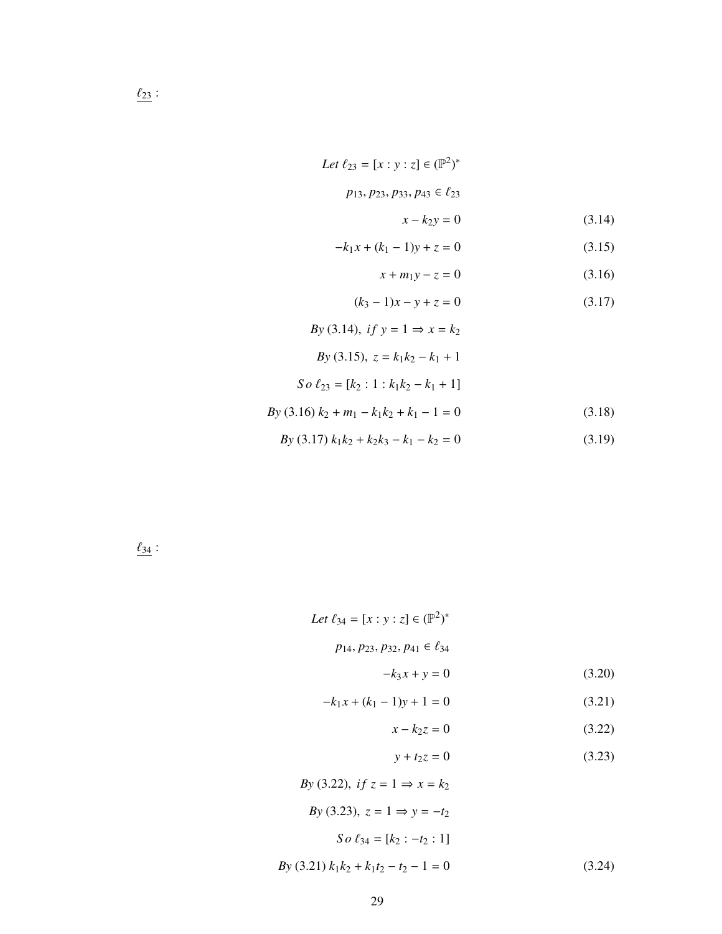Let 
$$
\ell_{23} = [x : y : z] \in (\mathbb{P}^2)^*
$$
  
 $p_{13}, p_{23}, p_{33}, p_{43} \in \ell_{23}$ 

$$
x - k_2 y = 0 \tag{3.14}
$$

$$
-k_1x + (k_1 - 1)y + z = 0 \tag{3.15}
$$

$$
x + m_1 y - z = 0 \tag{3.16}
$$

$$
(k_3 - 1)x - y + z = 0 \tag{3.17}
$$

$$
By (3.14), if y = 1 \Rightarrow x = k_2
$$
  
\n
$$
By (3.15), z = k_1k_2 - k_1 + 1
$$
  
\n
$$
So \ell_{23} = [k_2 : 1 : k_1k_2 - k_1 + 1]
$$
  
\n
$$
By (3.16) k_2 + m_1 - k_1k_2 + k_1 - 1 = 0
$$
  
\n
$$
By (3.17) k_1k_2 + k_2k_3 - k_1 - k_2 = 0
$$
  
\n(3.19)

 $\frac{\ell_{34}}{2}$ :

Let 
$$
\ell_{34} = [x : y : z] \in (\mathbb{P}^2)^*
$$
  
\n $p_{14}, p_{23}, p_{32}, p_{41} \in \ell_{34}$   
\n $-k_3x + y = 0$  (3.20)  
\n $-k_1x + (k_1 - 1)y + 1 = 0$  (3.21)

$$
x - k_2 z = 0 \tag{3.22}
$$

$$
y + t_2 z = 0 \tag{3.23}
$$

$$
By (3.22), if z = 1 \Rightarrow x = k_2
$$
  
\n
$$
By (3.23), z = 1 \Rightarrow y = -t_2
$$
  
\n
$$
So \ell_{34} = [k_2 : -t_2 : 1]
$$
  
\n
$$
By (3.21) k_1k_2 + k_1t_2 - t_2 - 1 = 0
$$
\n(3.24)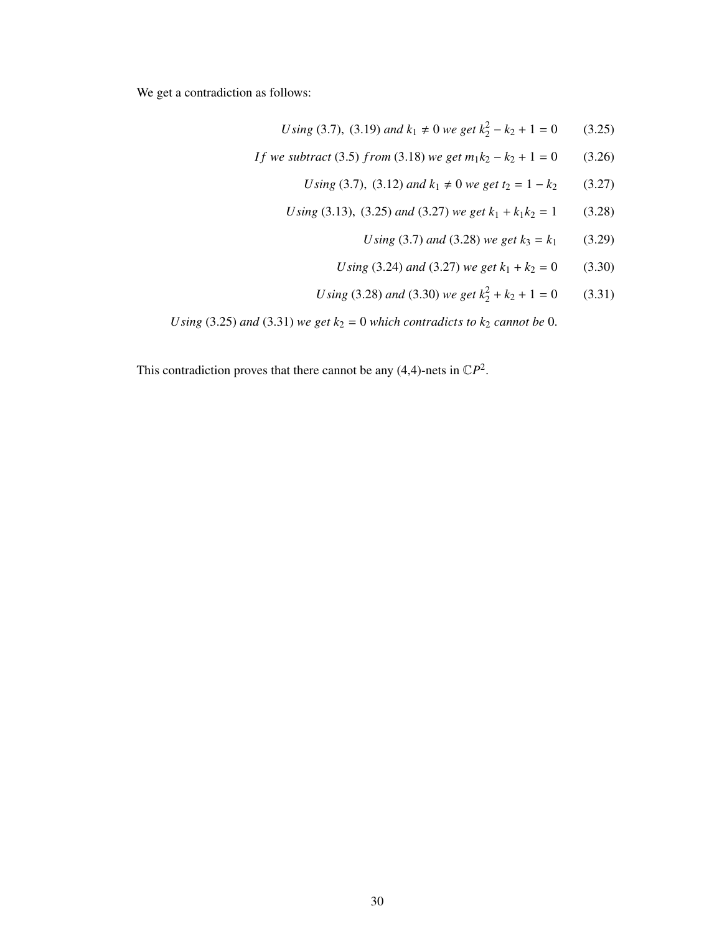We get a contradiction as follows:

Using (3.7), (3.19) and 
$$
k_1 \neq 0
$$
 we get  $k_2^2 - k_2 + 1 = 0$  (3.25)

- *If* we subtract (3.5) *from* (3.18) *we get*  $m_1k_2 k_2 + 1 = 0$  (3.26)
	- *U* sing (3.7), (3.12) and  $k_1 \neq 0$  we get  $t_2 = 1 k_2$  (3.27)
	- *U* sing (3.13), (3.25) and (3.27) we get  $k_1 + k_1k_2 = 1$  (3.28)
		- *U* sing (3.7) and (3.28) we get  $k_3 = k_1$  (3.29)
		- *U* sing (3.24) and (3.27) we get  $k_1 + k_2 = 0$  (3.30)
		- *U* sing (3.28) *and* (3.30) *we get*  $k_2^2 + k_2 + 1 = 0$  (3.31)

*U* sing (3.25) and (3.31) we get  $k_2 = 0$  which contradicts to  $k_2$  cannot be 0.

This contradiction proves that there cannot be any  $(4,4)$ -nets in  $\mathbb{C}P^2$ .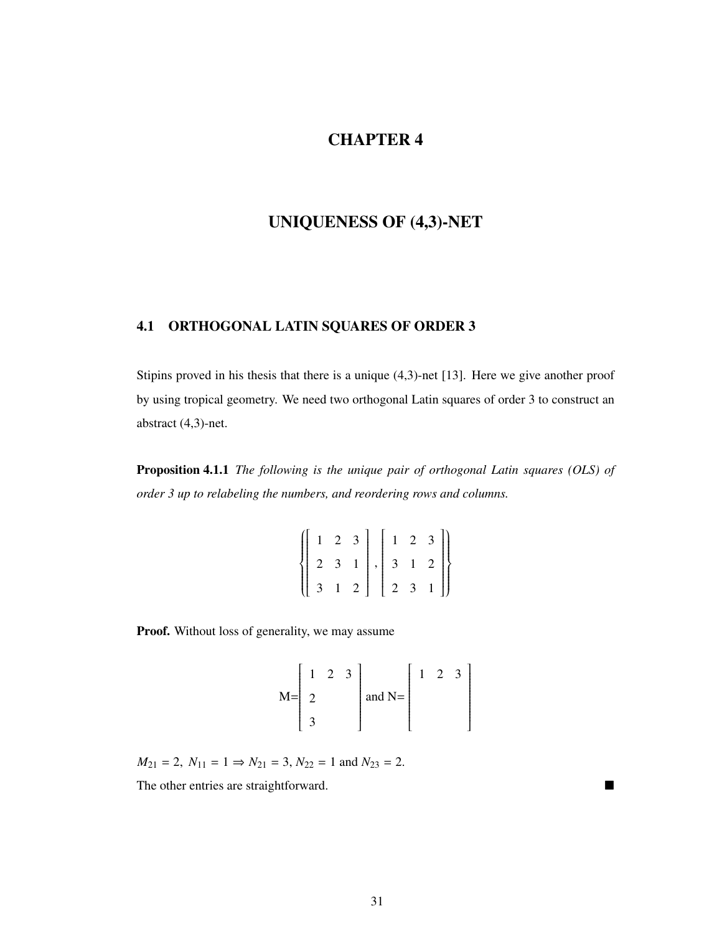# CHAPTER 4

# UNIQUENESS OF (4,3)-NET

## 4.1 ORTHOGONAL LATIN SQUARES OF ORDER 3

Stipins proved in his thesis that there is a unique (4,3)-net [13]. Here we give another proof by using tropical geometry. We need two orthogonal Latin squares of order 3 to construct an abstract (4,3)-net.

Proposition 4.1.1 *The following is the unique pair of orthogonal Latin squares (OLS) of order 3 up to relabeling the numbers, and reordering rows and columns.*

| $\left\{ \left[ \begin{array}{rrr} 1 & 2 & 3 \\ 2 & 3 & 1 \\ 3 & 1 & 2 \end{array} \right], \left[ \begin{array}{rrr} 1 & 2 & 3 \\ 3 & 1 & 2 \\ 2 & 3 & 1 \end{array} \right] \right\}$ |  |  |  |  |
|-----------------------------------------------------------------------------------------------------------------------------------------------------------------------------------------|--|--|--|--|
|                                                                                                                                                                                         |  |  |  |  |

Proof. Without loss of generality, we may assume

$$
M = \begin{bmatrix} 1 & 2 & 3 \\ 2 & & \\ 3 & & \end{bmatrix}
$$
 and 
$$
N = \begin{bmatrix} 1 & 2 & 3 \\ & & \\ & & \\ & & \\ & & \end{bmatrix}
$$

 $M_{21} = 2$ ,  $N_{11} = 1 \Rightarrow N_{21} = 3$ ,  $N_{22} = 1$  and  $N_{23} = 2$ .

The other entries are straightforward.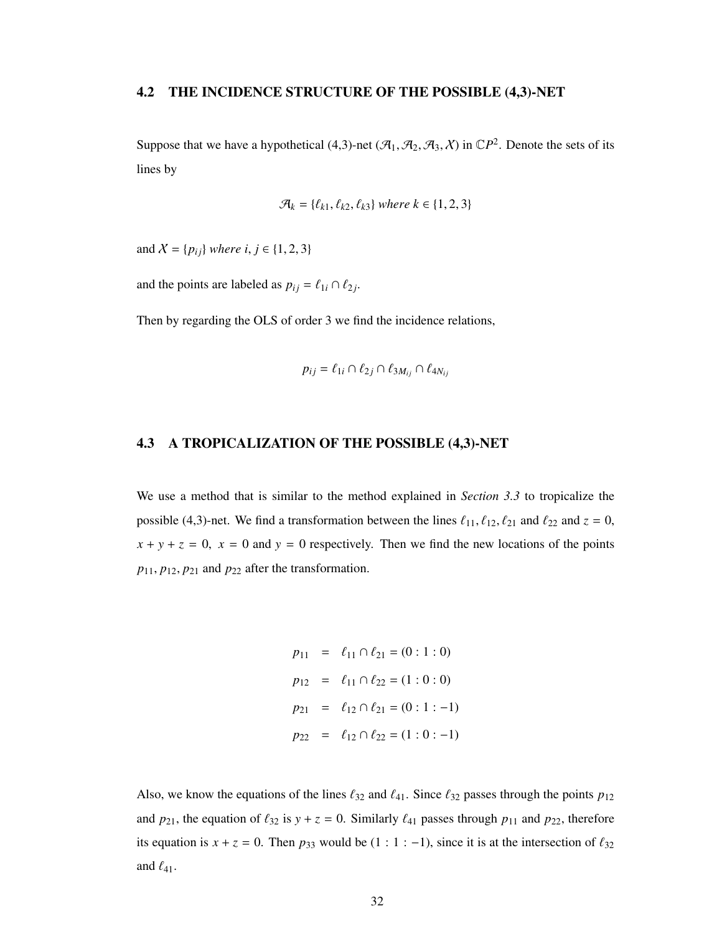#### 4.2 THE INCIDENCE STRUCTURE OF THE POSSIBLE (4,3)-NET

Suppose that we have a hypothetical (4,3)-net  $(\mathcal{A}_1, \mathcal{A}_2, \mathcal{A}_3, \chi)$  in  $\mathbb{C}P^2$ . Denote the sets of its lines by

$$
\mathcal{A}_k = \{\ell_{k1}, \ell_{k2}, \ell_{k3}\} \text{ where } k \in \{1, 2, 3\}
$$

and  $X = \{p_{ij}\}\$  *where i*,  $j \in \{1, 2, 3\}$ 

and the points are labeled as  $p_{ij} = \ell_{1i} \cap \ell_{2j}$ .

Then by regarding the OLS of order 3 we find the incidence relations,

$$
p_{ij} = \ell_{1i} \cap \ell_{2j} \cap \ell_{3M_{ij}} \cap \ell_{4N_{ij}}
$$

### 4.3 A TROPICALIZATION OF THE POSSIBLE (4,3)-NET

We use a method that is similar to the method explained in *Section 3.3* to tropicalize the possible (4,3)-net. We find a transformation between the lines  $\ell_{11}$ ,  $\ell_{12}$ ,  $\ell_{21}$  and  $\ell_{22}$  and  $z = 0$ ,  $x + y + z = 0$ ,  $x = 0$  and  $y = 0$  respectively. Then we find the new locations of the points *<sup>p</sup>*11, *<sup>p</sup>*12, *<sup>p</sup>*<sup>21</sup> and *<sup>p</sup>*<sup>22</sup> after the transformation.

$$
p_{11} = \ell_{11} \cap \ell_{21} = (0:1:0)
$$
  
\n
$$
p_{12} = \ell_{11} \cap \ell_{22} = (1:0:0)
$$
  
\n
$$
p_{21} = \ell_{12} \cap \ell_{21} = (0:1:-1)
$$
  
\n
$$
p_{22} = \ell_{12} \cap \ell_{22} = (1:0:-1)
$$

Also, we know the equations of the lines  $\ell_{32}$  and  $\ell_{41}$ . Since  $\ell_{32}$  passes through the points  $p_{12}$ and  $p_{21}$ , the equation of  $\ell_{32}$  is  $y + z = 0$ . Similarly  $\ell_{41}$  passes through  $p_{11}$  and  $p_{22}$ , therefore its equation is  $x + z = 0$ . Then  $p_{33}$  would be (1 : 1 : −1), since it is at the intersection of  $\ell_{32}$ and  $\ell_{41}$ .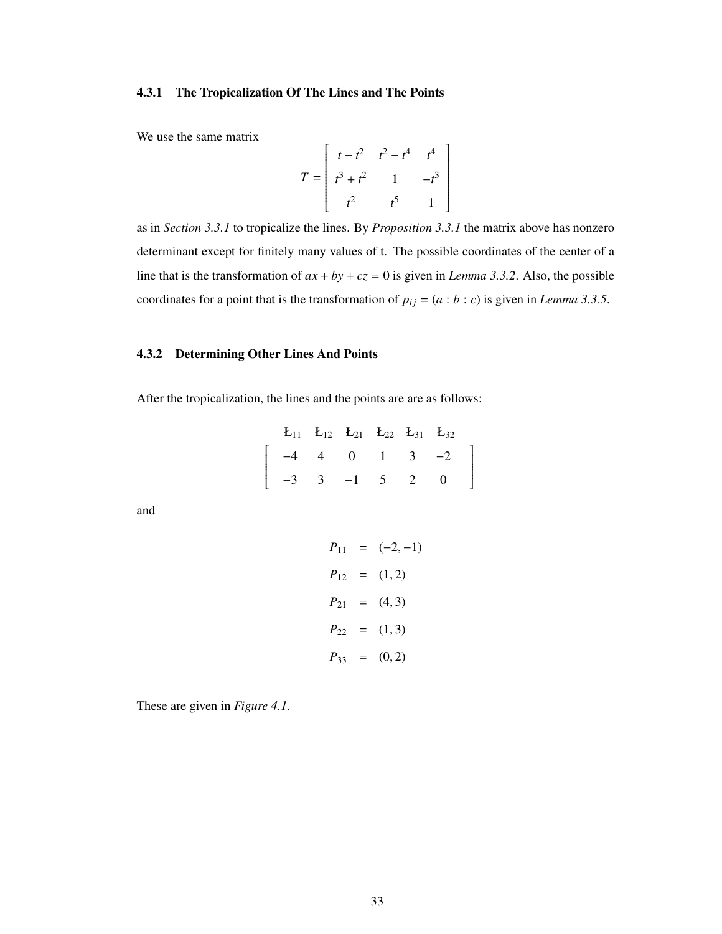#### 4.3.1 The Tropicalization Of The Lines and The Points

We use the same matrix

$$
T = \begin{bmatrix} t - t^2 & t^2 - t^4 & t^4 \\ t^3 + t^2 & 1 & -t^3 \\ t^2 & t^5 & 1 \end{bmatrix}
$$

as in *Section 3.3.1* to tropicalize the lines. By *Proposition 3.3.1* the matrix above has nonzero determinant except for finitely many values of t. The possible coordinates of the center of a line that is the transformation of  $ax + by + cz = 0$  is given in *Lemma 3.3.2*. Also, the possible coordinates for a point that is the transformation of  $p_{ij} = (a : b : c)$  is given in *Lemma 3.3.5*.

#### 4.3.2 Determining Other Lines And Points

After the tropicalization, the lines and the points are are as follows:

|  |  |  | $E_{11}$ $E_{12}$ $E_{21}$ $E_{22}$ $E_{31}$ $E_{32}$                                                 |  |
|--|--|--|-------------------------------------------------------------------------------------------------------|--|
|  |  |  | $\left[ \begin{array}{cccccc} -4 & 4 & 0 & 1 & 3 & -2 \\ -3 & 3 & -1 & 5 & 2 & 0 \end{array} \right]$ |  |
|  |  |  |                                                                                                       |  |

and

$$
P_{11} = (-2, -1)
$$
  
\n
$$
P_{12} = (1, 2)
$$
  
\n
$$
P_{21} = (4, 3)
$$
  
\n
$$
P_{22} = (1, 3)
$$
  
\n
$$
P_{33} = (0, 2)
$$

These are given in *Figure 4.1*.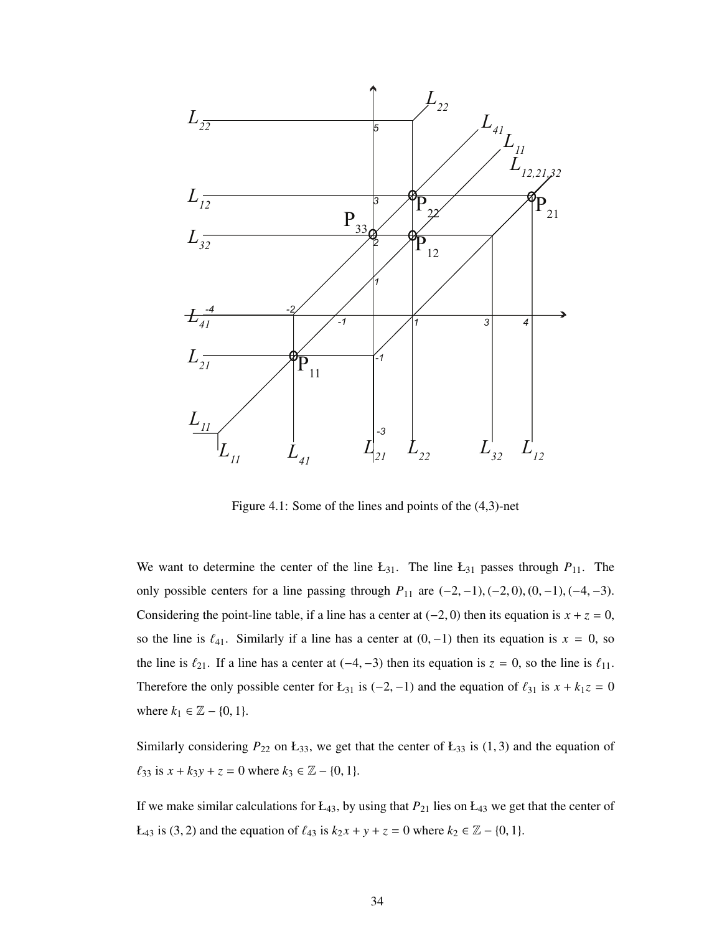

Figure 4.1: Some of the lines and points of the (4,3)-net

We want to determine the center of the line  $L_{31}$ . The line  $L_{31}$  passes through  $P_{11}$ . The only possible centers for a line passing through  $P_{11}$  are  $(-2, -1)$ ,  $(-2, 0)$ ,  $(0, -1)$ ,  $(-4, -3)$ . Considering the point-line table, if a line has a center at  $(-2, 0)$  then its equation is  $x + z = 0$ , so the line is  $\ell_{41}$ . Similarly if a line has a center at  $(0, -1)$  then its equation is  $x = 0$ , so the line is  $\ell_{21}$ . If a line has a center at (−4, −3) then its equation is  $z = 0$ , so the line is  $\ell_{11}$ . Therefore the only possible center for Ł<sub>31</sub> is (-2, -1) and the equation of  $\ell_{31}$  is  $x + k_1z = 0$ where  $k_1$  ∈  $\mathbb{Z} - \{0, 1\}$ .

Similarly considering  $P_{22}$  on  $E_{33}$ , we get that the center of  $E_{33}$  is (1, 3) and the equation of  $\ell_{33}$  is  $x + k_3y + z = 0$  where  $k_3 \in \mathbb{Z} - \{0, 1\}.$ 

If we make similar calculations for  $E_{43}$ , by using that  $P_{21}$  lies on  $E_{43}$  we get that the center of *L*<sub>43</sub> is (3, 2) and the equation of  $\ell_{43}$  is  $k_2 x + y + z = 0$  where  $k_2 \in \mathbb{Z} - \{0, 1\}$ .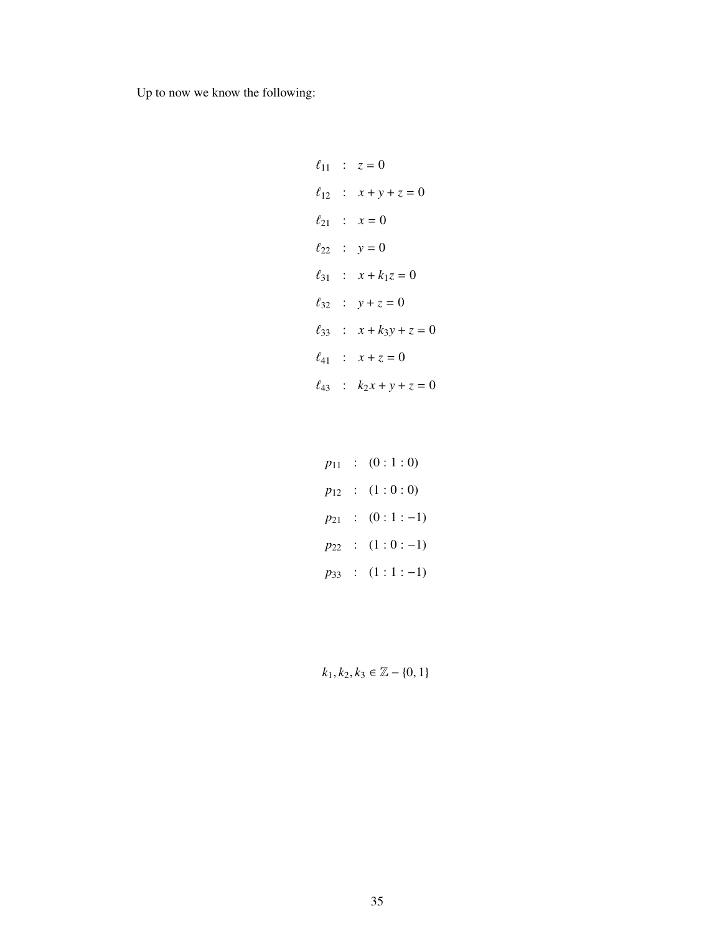Up to now we know the following:

$$
\ell_{11} : z = 0
$$
  
\n
$$
\ell_{12} : x + y + z = 0
$$
  
\n
$$
\ell_{21} : x = 0
$$
  
\n
$$
\ell_{22} : y = 0
$$
  
\n
$$
\ell_{31} : x + k_1 z = 0
$$
  
\n
$$
\ell_{32} : y + z = 0
$$
  
\n
$$
\ell_{33} : x + k_3 y + z = 0
$$
  
\n
$$
\ell_{41} : x + z = 0
$$
  
\n
$$
\ell_{43} : k_2 x + y + z = 0
$$

$$
p_{11} : (0:1:0)
$$
  
\n
$$
p_{12} : (1:0:0)
$$
  
\n
$$
p_{21} : (0:1:-1)
$$
  
\n
$$
p_{22} : (1:0:-1)
$$
  
\n
$$
p_{33} : (1:1:-1)
$$

 $k_1, k_2, k_3 \in \mathbb{Z} - \{0, 1\}$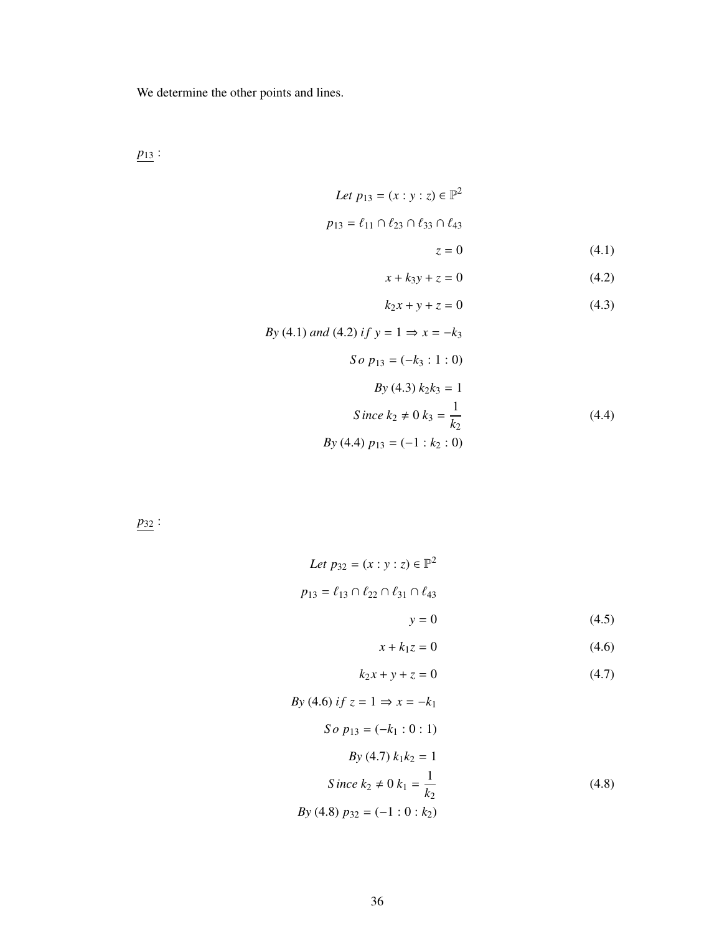We determine the other points and lines.

*p*<sup>13</sup> :

Let 
$$
p_{13} = (x : y : z) \in \mathbb{P}^2
$$
  
\n $p_{13} = \ell_{11} \cap \ell_{23} \cap \ell_{33} \cap \ell_{43}$   
\n $z = 0$  (4.1)

$$
x + k_3 y + z = 0 \tag{4.2}
$$

$$
k_2 x + y + z = 0 \t\t(4.3)
$$

$$
By (4.1) and (4.2) if y = 1 \Rightarrow x = -k_3
$$
  
\n
$$
So p_{13} = (-k_3 : 1 : 0)
$$
  
\n
$$
By (4.3) k_2 k_3 = 1
$$
  
\n
$$
Since k_2 \neq 0 k_3 = \frac{1}{k_2}
$$
  
\n
$$
By (4.4) p_{13} = (-1 : k_2 : 0)
$$
  
\n(4.4)

*p*<sup>32</sup> :

Let 
$$
p_{32} = (x : y : z) \in \mathbb{P}^2
$$
  
\n $p_{13} = \ell_{13} \cap \ell_{22} \cap \ell_{31} \cap \ell_{43}$   
\n $y = 0$   
\n $x + k_1 z = 0$  (4.6)

$$
k_2x + y + z = 0 \tag{4.7}
$$

$$
By (4.6) if z = 1 \Rightarrow x = -k_1
$$
  
\n
$$
So p_{13} = (-k_1 : 0 : 1)
$$
  
\n
$$
By (4.7) k_1 k_2 = 1
$$
  
\n
$$
Since k_2 \neq 0 k_1 = \frac{1}{k_2}
$$
  
\n
$$
By (4.8) p_{32} = (-1 : 0 : k_2)
$$
 (4.8)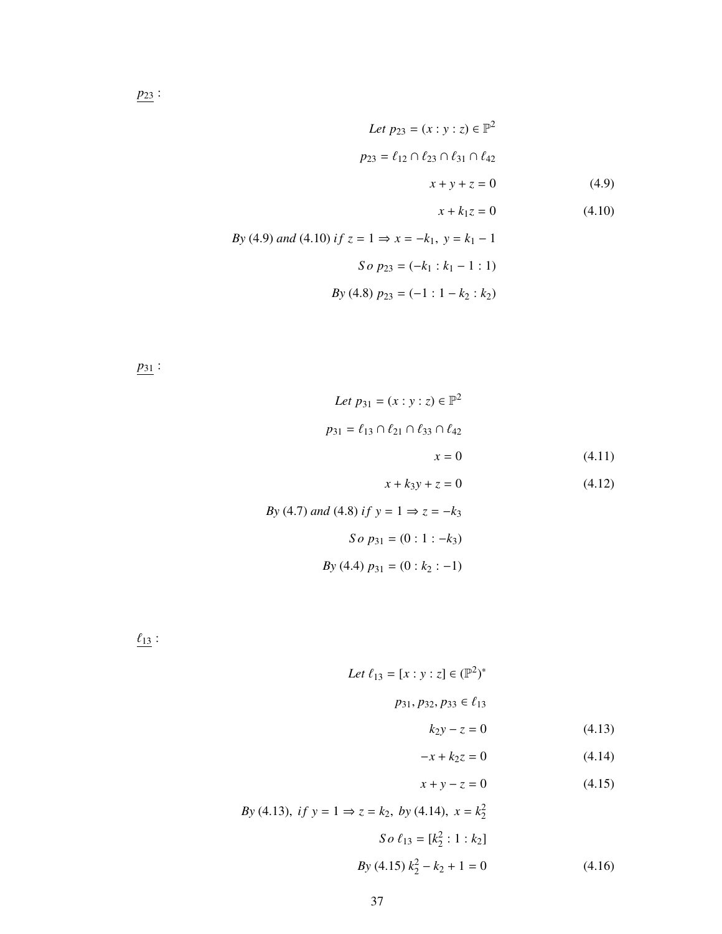Let 
$$
p_{23} = (x : y : z) \in \mathbb{P}^2
$$
  
\n $p_{23} = \ell_{12} \cap \ell_{23} \cap \ell_{31} \cap \ell_{42}$   
\n $x + y + z = 0$  (4.9)  
\n $x + k_1 z = 0$  (4.10)  
\nBy (4.9) and (4.10) if  $z = 1 \Rightarrow x = -k_1$ ,  $y = k_1 - 1$   
\nSo  $p_{23} = (-k_1 : k_1 - 1 : 1)$   
\n $By (4.8)  $p_{23} = (-1 : 1 - k_2 : k_2)$$ 

*p*<sup>31</sup> :

Let 
$$
p_{31} = (x : y : z) \in \mathbb{P}^2
$$
  
\n $p_{31} = \ell_{13} \cap \ell_{21} \cap \ell_{33} \cap \ell_{42}$   
\n $x = 0$  (4.11)  
\n $x + k_3y + z = 0$  (4.12)

By (4.7) and (4.8) if 
$$
y = 1 \Rightarrow z = -k_3
$$
  
\nSo  $p_{31} = (0 : 1 : -k_3)$   
\nBy (4.4)  $p_{31} = (0 : k_2 : -1)$ 

 $\frac{\ell_{13}}{13}$  :

Let 
$$
\ell_{13} = [x : y : z] \in (\mathbb{P}^2)^*
$$
  
 $p_{31}, p_{32}, p_{33} \in \ell_{13}$ 

$$
k_2 y - z = 0 \tag{4.13}
$$

$$
-x + k_2 z = 0 \tag{4.14}
$$

$$
x + y - z = 0 \tag{4.15}
$$

By (4.13), if 
$$
y = 1 \Rightarrow z = k_2
$$
, by (4.14),  $x = k_2^2$   

$$
So \ell_{13} = [k_2^2 : 1 : k_2]
$$

$$
By (4.15) k_2^2 - k_2 + 1 = 0
$$
(4.16)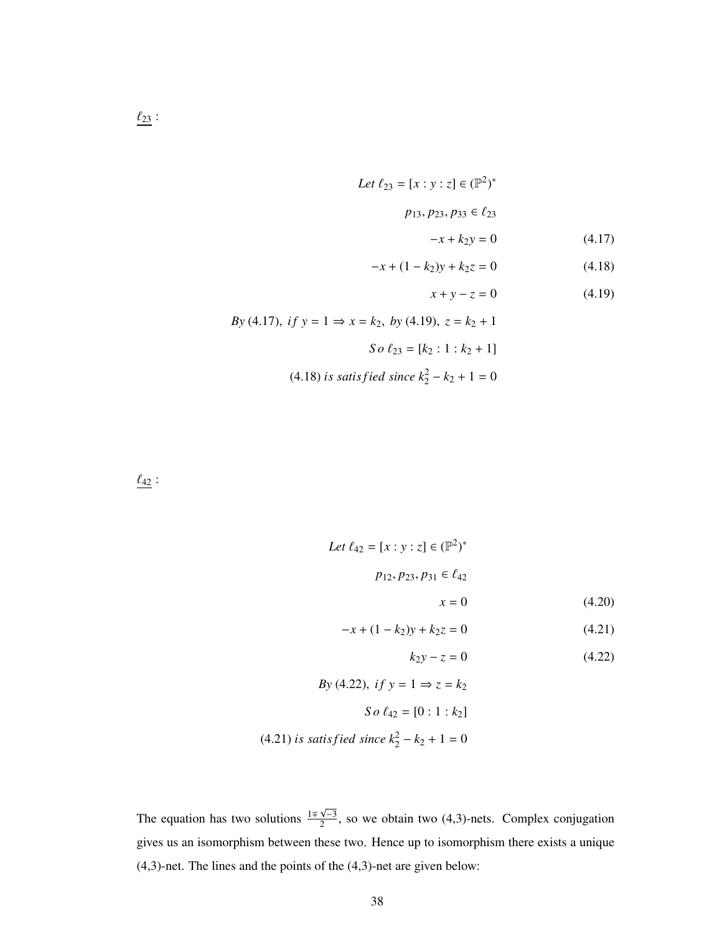Let 
$$
\ell_{23} = [x : y : z] \in (\mathbb{P}^2)^*
$$
  
\n $p_{13}, p_{23}, p_{33} \in \ell_{23}$   
\n $-x + k_2 y = 0$ 

$$
-x + (1 - k_2)y + k_2 z = 0 \tag{4.18}
$$

$$
x + y - z = 0 \tag{4.19}
$$

 $(4.17)$ 

By (4.17), if 
$$
y = 1 \Rightarrow x = k_2
$$
, by (4.19),  $z = k_2 + 1$   
\nSo  $\ell_{23} = [k_2 : 1 : k_2 + 1]$   
\n(4.18) is satisfied since  $k_2^2 - k_2 + 1 = 0$ 

 $\ell_{42}$  :

Let 
$$
\ell_{42} = [x : y : z] \in (\mathbb{P}^2)^*
$$
  
\n $p_{12}, p_{23}, p_{31} \in \ell_{42}$   
\n $x = 0$  (4.20)

$$
-x + (1 - k2)y + k2z = 0
$$
 (4.21)

$$
k_2 y - z = 0 \tag{4.22}
$$

By (4.22), if 
$$
y = 1 \Rightarrow z = k_2
$$
  
\nSo  $\ell_{42} = [0 : 1 : k_2]$   
\n(4.21) is satisfied since  $k_2^2 - k_2 + 1 = 0$ 

The equation has two solutions  $\frac{1 \mp \sqrt{-3}}{2}$  $\frac{\sqrt{2}}{2}$ , so we obtain two (4,3)-nets. Complex conjugation gives us an isomorphism between these two. Hence up to isomorphism there exists a unique (4,3)-net. The lines and the points of the (4,3)-net are given below: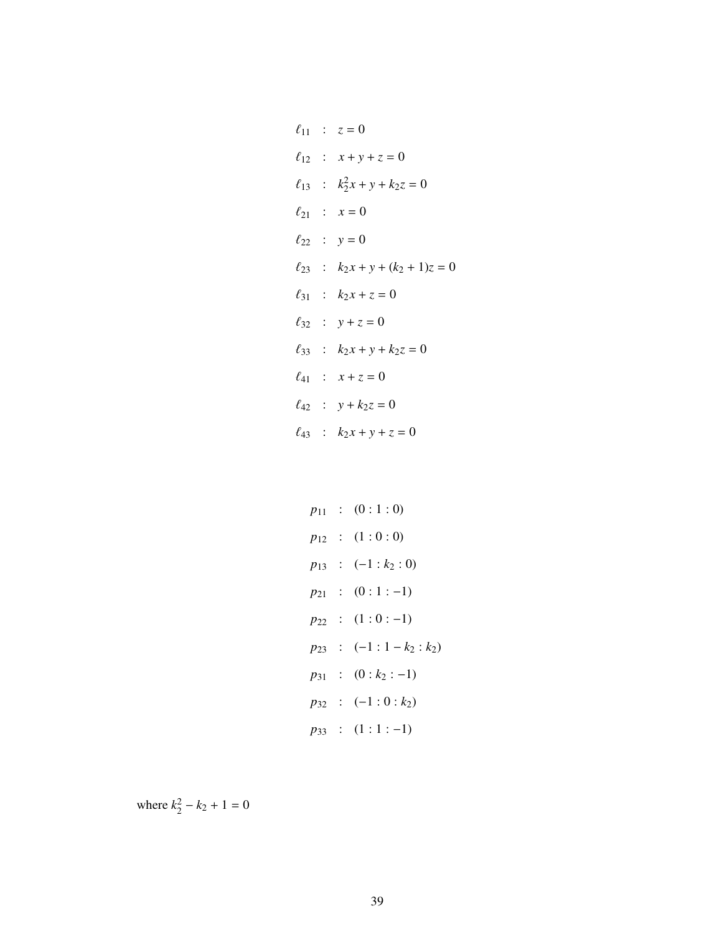$$
\ell_{11} : z = 0
$$
  
\n
$$
\ell_{12} : x + y + z = 0
$$
  
\n
$$
\ell_{13} : k_2^2 x + y + k_2 z = 0
$$
  
\n
$$
\ell_{21} : x = 0
$$
  
\n
$$
\ell_{22} : y = 0
$$
  
\n
$$
\ell_{23} : k_2 x + y + (k_2 + 1)z = 0
$$
  
\n
$$
\ell_{31} : k_2 x + z = 0
$$
  
\n
$$
\ell_{32} : y + z = 0
$$
  
\n
$$
\ell_{33} : k_2 x + y + k_2 z = 0
$$
  
\n
$$
\ell_{41} : x + z = 0
$$
  
\n
$$
\ell_{42} : y + k_2 z = 0
$$
  
\n
$$
\ell_{43} : k_2 x + y + z = 0
$$

$$
p_{11} : (0:1:0)
$$
  
\n
$$
p_{12} : (1:0:0)
$$
  
\n
$$
p_{13} : (-1:k_2:0)
$$
  
\n
$$
p_{21} : (0:1:-1)
$$
  
\n
$$
p_{22} : (1:0:-1)
$$
  
\n
$$
p_{23} : (-1:1-k_2:k_2)
$$
  
\n
$$
p_{31} : (0:k_2:-1)
$$
  
\n
$$
p_{32} : (-1:0:k_2)
$$
  
\n
$$
p_{33} : (1:1:-1)
$$

where  $k_2^2 - k_2 + 1 = 0$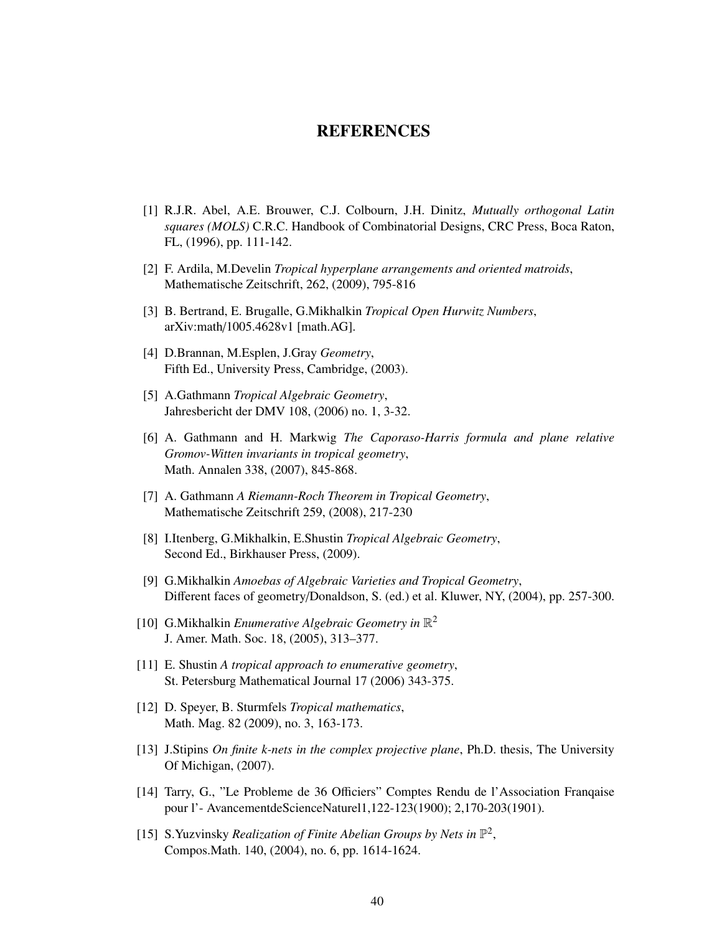## REFERENCES

- [1] R.J.R. Abel, A.E. Brouwer, C.J. Colbourn, J.H. Dinitz, *Mutually orthogonal Latin squares (MOLS)* C.R.C. Handbook of Combinatorial Designs, CRC Press, Boca Raton, FL, (1996), pp. 111-142.
- [2] F. Ardila, M.Develin *Tropical hyperplane arrangements and oriented matroids*, Mathematische Zeitschrift, 262, (2009), 795-816
- [3] B. Bertrand, E. Brugalle, G.Mikhalkin *Tropical Open Hurwitz Numbers*, arXiv:math/1005.4628v1 [math.AG].
- [4] D.Brannan, M.Esplen, J.Gray *Geometry*, Fifth Ed., University Press, Cambridge, (2003).
- [5] A.Gathmann *Tropical Algebraic Geometry*, Jahresbericht der DMV 108, (2006) no. 1, 3-32.
- [6] A. Gathmann and H. Markwig *The Caporaso-Harris formula and plane relative Gromov-Witten invariants in tropical geometry*, Math. Annalen 338, (2007), 845-868.
- [7] A. Gathmann *A Riemann-Roch Theorem in Tropical Geometry*, Mathematische Zeitschrift 259, (2008), 217-230
- [8] I.Itenberg, G.Mikhalkin, E.Shustin *Tropical Algebraic Geometry*, Second Ed., Birkhauser Press, (2009).
- [9] G.Mikhalkin *Amoebas of Algebraic Varieties and Tropical Geometry*, Different faces of geometry/Donaldson, S. (ed.) et al. Kluwer, NY, (2004), pp. 257-300.
- [10] G.Mikhalkin *Enumerative Algebraic Geometry in*  $\mathbb{R}^2$ J. Amer. Math. Soc. 18, (2005), 313–377.
- [11] E. Shustin *A tropical approach to enumerative geometry*, St. Petersburg Mathematical Journal 17 (2006) 343-375.
- [12] D. Speyer, B. Sturmfels *Tropical mathematics*, Math. Mag. 82 (2009), no. 3, 163-173.
- [13] J.Stipins *On finite k-nets in the complex projective plane*, Ph.D. thesis, The University Of Michigan, (2007).
- [14] Tarry, G., "Le Probleme de 36 Officiers" Comptes Rendu de l'Association Franqaise pour l'- AvancementdeScienceNaturel1,122-123(1900); 2,170-203(1901).
- [15] S. Yuzvinsky *Realization of Finite Abelian Groups by Nets in*  $\mathbb{P}^2$ , Compos.Math. 140, (2004), no. 6, pp. 1614-1624.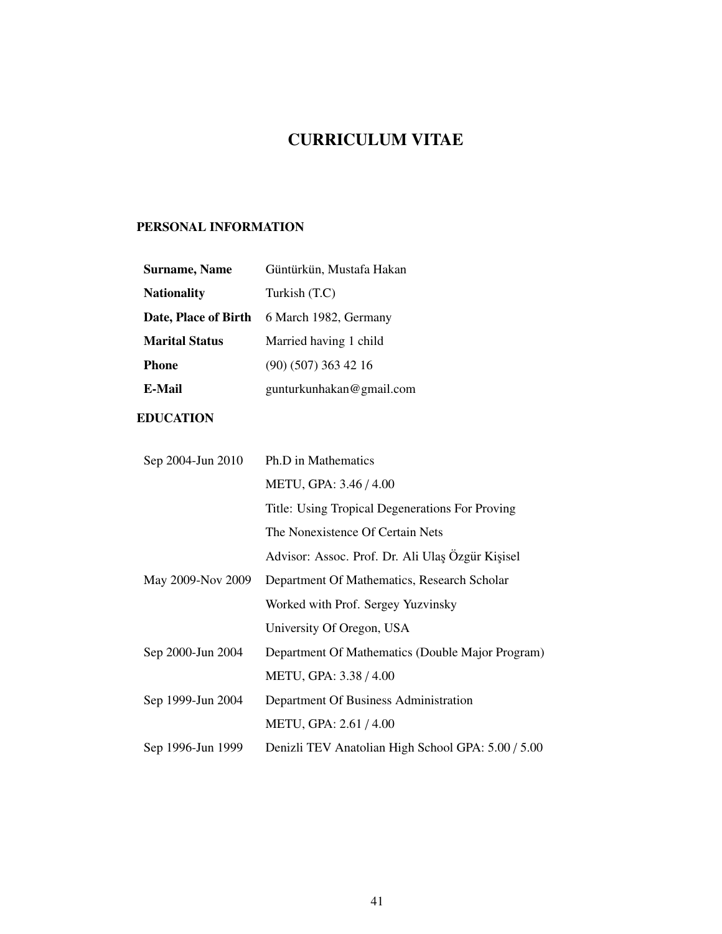# CURRICULUM VITAE

## PERSONAL INFORMATION

| <b>Surname, Name</b>  | Güntürkün, Mustafa Hakan |
|-----------------------|--------------------------|
| <b>Nationality</b>    | Turkish (T.C)            |
| Date, Place of Birth  | 6 March 1982, Germany    |
| <b>Marital Status</b> | Married having 1 child   |
| Phone                 | $(90)$ $(507)$ 363 42 16 |
| E-Mail                | gunturkunhakan@gmail.com |
|                       |                          |

# EDUCATION

| Sep 2004-Jun 2010 | Ph.D in Mathematics                                |
|-------------------|----------------------------------------------------|
|                   | METU, GPA: 3.46 / 4.00                             |
|                   | Title: Using Tropical Degenerations For Proving    |
|                   | The Nonexistence Of Certain Nets                   |
|                   | Advisor: Assoc. Prof. Dr. Ali Ulaş Özgür Kişisel   |
| May 2009-Nov 2009 | Department Of Mathematics, Research Scholar        |
|                   | Worked with Prof. Sergey Yuzvinsky                 |
|                   | University Of Oregon, USA                          |
| Sep 2000-Jun 2004 | Department Of Mathematics (Double Major Program)   |
|                   | METU, GPA: 3.38 / 4.00                             |
| Sep 1999-Jun 2004 | Department Of Business Administration              |
|                   | METU, GPA: 2.61 / 4.00                             |
| Sep 1996-Jun 1999 | Denizli TEV Anatolian High School GPA: 5.00 / 5.00 |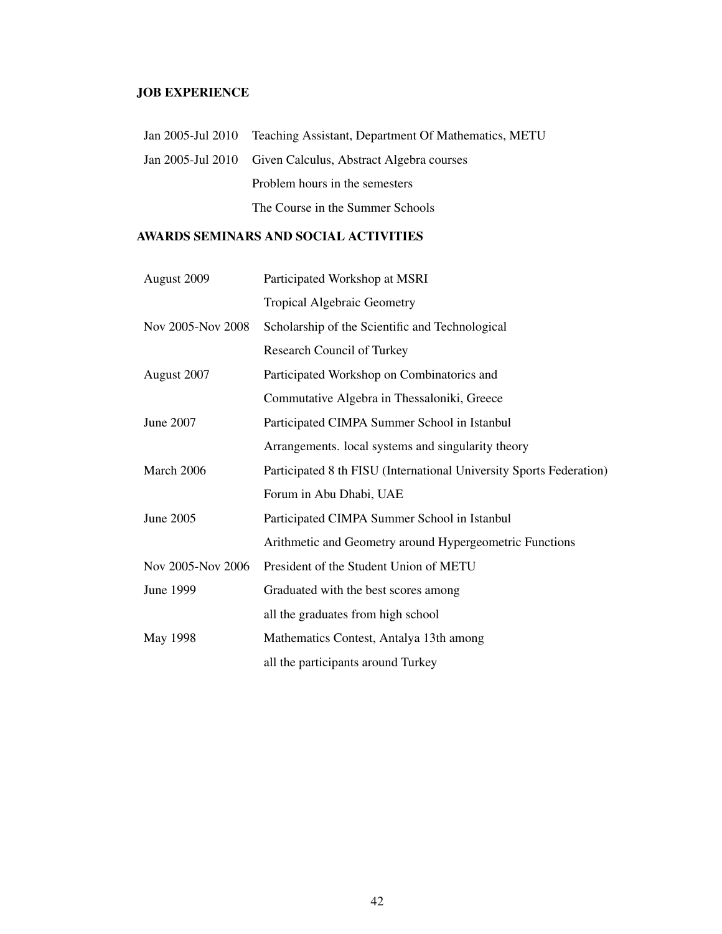## JOB EXPERIENCE

| Jan 2005-Jul 2010 Teaching Assistant, Department Of Mathematics, METU |
|-----------------------------------------------------------------------|
| Jan 2005-Jul 2010 Given Calculus, Abstract Algebra courses            |
| Problem hours in the semesters                                        |
| The Course in the Summer Schools                                      |

## AWARDS SEMINARS AND SOCIAL ACTIVITIES

| August 2009       | Participated Workshop at MSRI                                       |
|-------------------|---------------------------------------------------------------------|
|                   | <b>Tropical Algebraic Geometry</b>                                  |
| Nov 2005-Nov 2008 | Scholarship of the Scientific and Technological                     |
|                   | Research Council of Turkey                                          |
| August 2007       | Participated Workshop on Combinatorics and                          |
|                   | Commutative Algebra in Thessaloniki, Greece                         |
| June 2007         | Participated CIMPA Summer School in Istanbul                        |
|                   | Arrangements. local systems and singularity theory                  |
| March 2006        | Participated 8 th FISU (International University Sports Federation) |
|                   | Forum in Abu Dhabi, UAE                                             |
| June 2005         | Participated CIMPA Summer School in Istanbul                        |
|                   | Arithmetic and Geometry around Hypergeometric Functions             |
| Nov 2005-Nov 2006 | President of the Student Union of METU                              |
| June 1999         | Graduated with the best scores among                                |
|                   | all the graduates from high school                                  |
| May 1998          | Mathematics Contest, Antalya 13th among                             |
|                   | all the participants around Turkey                                  |